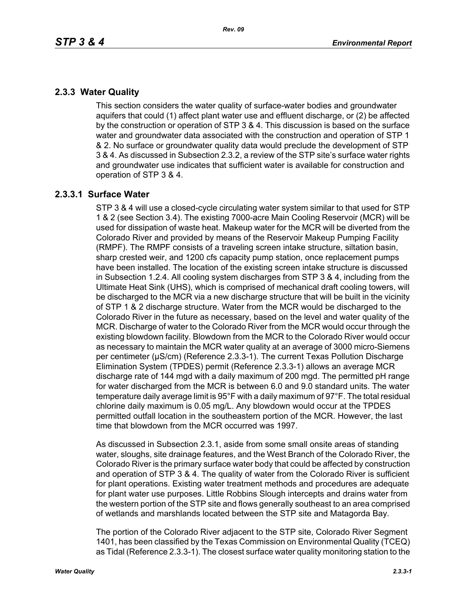# **2.3.3 Water Quality**

This section considers the water quality of surface-water bodies and groundwater aquifers that could (1) affect plant water use and effluent discharge, or (2) be affected by the construction or operation of STP 3 & 4. This discussion is based on the surface water and groundwater data associated with the construction and operation of STP 1 & 2. No surface or groundwater quality data would preclude the development of STP 3 & 4. As discussed in Subsection 2.3.2, a review of the STP site's surface water rights and groundwater use indicates that sufficient water is available for construction and operation of STP 3 & 4.

# **2.3.3.1 Surface Water**

STP 3 & 4 will use a closed-cycle circulating water system similar to that used for STP 1 & 2 (see Section 3.4). The existing 7000-acre Main Cooling Reservoir (MCR) will be used for dissipation of waste heat. Makeup water for the MCR will be diverted from the Colorado River and provided by means of the Reservoir Makeup Pumping Facility (RMPF). The RMPF consists of a traveling screen intake structure, siltation basin, sharp crested weir, and 1200 cfs capacity pump station, once replacement pumps have been installed. The location of the existing screen intake structure is discussed in Subsection 1.2.4. All cooling system discharges from STP 3 & 4, including from the Ultimate Heat Sink (UHS), which is comprised of mechanical draft cooling towers, will be discharged to the MCR via a new discharge structure that will be built in the vicinity of STP 1 & 2 discharge structure. Water from the MCR would be discharged to the Colorado River in the future as necessary, based on the level and water quality of the MCR. Discharge of water to the Colorado River from the MCR would occur through the existing blowdown facility. Blowdown from the MCR to the Colorado River would occur as necessary to maintain the MCR water quality at an average of 3000 micro-Siemens per centimeter (µS/cm) (Reference 2.3.3-1). The current Texas Pollution Discharge Elimination System (TPDES) permit (Reference 2.3.3-1) allows an average MCR discharge rate of 144 mgd with a daily maximum of 200 mgd. The permitted pH range for water discharged from the MCR is between 6.0 and 9.0 standard units. The water temperature daily average limit is 95°F with a daily maximum of 97°F. The total residual chlorine daily maximum is 0.05 mg/L. Any blowdown would occur at the TPDES permitted outfall location in the southeastern portion of the MCR. However, the last time that blowdown from the MCR occurred was 1997.

As discussed in Subsection 2.3.1, aside from some small onsite areas of standing water, sloughs, site drainage features, and the West Branch of the Colorado River, the Colorado River is the primary surface water body that could be affected by construction and operation of STP 3 & 4. The quality of water from the Colorado River is sufficient for plant operations. Existing water treatment methods and procedures are adequate for plant water use purposes. Little Robbins Slough intercepts and drains water from the western portion of the STP site and flows generally southeast to an area comprised of wetlands and marshlands located between the STP site and Matagorda Bay.

The portion of the Colorado River adjacent to the STP site, Colorado River Segment 1401, has been classified by the Texas Commission on Environmental Quality (TCEQ) as Tidal (Reference 2.3.3-1). The closest surface water quality monitoring station to the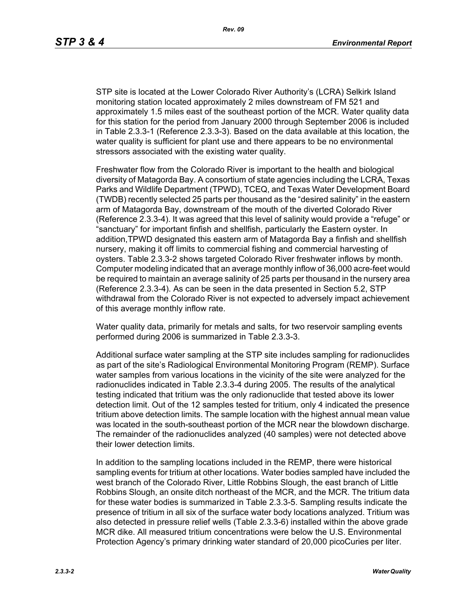STP site is located at the Lower Colorado River Authority's (LCRA) Selkirk Island monitoring station located approximately 2 miles downstream of FM 521 and approximately 1.5 miles east of the southeast portion of the MCR. Water quality data for this station for the period from January 2000 through September 2006 is included in Table 2.3.3-1 (Reference 2.3.3-3). Based on the data available at this location, the water quality is sufficient for plant use and there appears to be no environmental stressors associated with the existing water quality.

Freshwater flow from the Colorado River is important to the health and biological diversity of Matagorda Bay. A consortium of state agencies including the LCRA, Texas Parks and Wildlife Department (TPWD), TCEQ, and Texas Water Development Board (TWDB) recently selected 25 parts per thousand as the "desired salinity" in the eastern arm of Matagorda Bay, downstream of the mouth of the diverted Colorado River (Reference 2.3.3-4). It was agreed that this level of salinity would provide a "refuge" or "sanctuary" for important finfish and shellfish, particularly the Eastern oyster. In addition,TPWD designated this eastern arm of Matagorda Bay a finfish and shellfish nursery, making it off limits to commercial fishing and commercial harvesting of oysters. Table 2.3.3-2 shows targeted Colorado River freshwater inflows by month. Computer modeling indicated that an average monthly inflow of 36,000 acre-feet would be required to maintain an average salinity of 25 parts per thousand in the nursery area (Reference 2.3.3-4). As can be seen in the data presented in Section 5.2, STP withdrawal from the Colorado River is not expected to adversely impact achievement of this average monthly inflow rate.

Water quality data, primarily for metals and salts, for two reservoir sampling events performed during 2006 is summarized in Table 2.3.3-3.

Additional surface water sampling at the STP site includes sampling for radionuclides as part of the site's Radiological Environmental Monitoring Program (REMP). Surface water samples from various locations in the vicinity of the site were analyzed for the radionuclides indicated in Table 2.3.3-4 during 2005. The results of the analytical testing indicated that tritium was the only radionuclide that tested above its lower detection limit. Out of the 12 samples tested for tritium, only 4 indicated the presence tritium above detection limits. The sample location with the highest annual mean value was located in the south-southeast portion of the MCR near the blowdown discharge. The remainder of the radionuclides analyzed (40 samples) were not detected above their lower detection limits.

In addition to the sampling locations included in the REMP, there were historical sampling events for tritium at other locations. Water bodies sampled have included the west branch of the Colorado River, Little Robbins Slough, the east branch of Little Robbins Slough, an onsite ditch northeast of the MCR, and the MCR. The tritium data for these water bodies is summarized in Table 2.3.3-5. Sampling results indicate the presence of tritium in all six of the surface water body locations analyzed. Tritium was also detected in pressure relief wells (Table 2.3.3-6) installed within the above grade MCR dike. All measured tritium concentrations were below the U.S. Environmental Protection Agency's primary drinking water standard of 20,000 picoCuries per liter.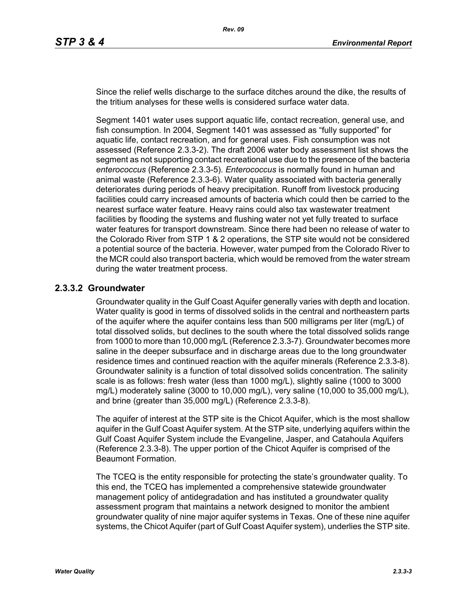Since the relief wells discharge to the surface ditches around the dike, the results of the tritium analyses for these wells is considered surface water data.

Segment 1401 water uses support aquatic life, contact recreation, general use, and fish consumption. In 2004, Segment 1401 was assessed as "fully supported" for aquatic life, contact recreation, and for general uses. Fish consumption was not assessed (Reference 2.3.3-2). The draft 2006 water body assessment list shows the segment as not supporting contact recreational use due to the presence of the bacteria *enterococcus* (Reference 2.3.3-5). *Enterococcus* is normally found in human and animal waste (Reference 2.3.3-6). Water quality associated with bacteria generally deteriorates during periods of heavy precipitation. Runoff from livestock producing facilities could carry increased amounts of bacteria which could then be carried to the nearest surface water feature. Heavy rains could also tax wastewater treatment facilities by flooding the systems and flushing water not yet fully treated to surface water features for transport downstream. Since there had been no release of water to the Colorado River from STP 1 & 2 operations, the STP site would not be considered a potential source of the bacteria. However, water pumped from the Colorado River to the MCR could also transport bacteria, which would be removed from the water stream during the water treatment process.

## **2.3.3.2 Groundwater**

Groundwater quality in the Gulf Coast Aquifer generally varies with depth and location. Water quality is good in terms of dissolved solids in the central and northeastern parts of the aquifer where the aquifer contains less than 500 milligrams per liter (mg/L) of total dissolved solids, but declines to the south where the total dissolved solids range from 1000 to more than 10,000 mg/L (Reference 2.3.3-7). Groundwater becomes more saline in the deeper subsurface and in discharge areas due to the long groundwater residence times and continued reaction with the aquifer minerals (Reference 2.3.3-8). Groundwater salinity is a function of total dissolved solids concentration. The salinity scale is as follows: fresh water (less than 1000 mg/L), slightly saline (1000 to 3000 mg/L) moderately saline (3000 to 10,000 mg/L), very saline (10,000 to 35,000 mg/L), and brine (greater than 35,000 mg/L) (Reference 2.3.3-8).

The aquifer of interest at the STP site is the Chicot Aquifer, which is the most shallow aquifer in the Gulf Coast Aquifer system. At the STP site, underlying aquifers within the Gulf Coast Aquifer System include the Evangeline, Jasper, and Catahoula Aquifers (Reference 2.3.3-8). The upper portion of the Chicot Aquifer is comprised of the Beaumont Formation.

The TCEQ is the entity responsible for protecting the state's groundwater quality. To this end, the TCEQ has implemented a comprehensive statewide groundwater management policy of antidegradation and has instituted a groundwater quality assessment program that maintains a network designed to monitor the ambient groundwater quality of nine major aquifer systems in Texas. One of these nine aquifer systems, the Chicot Aquifer (part of Gulf Coast Aquifer system), underlies the STP site.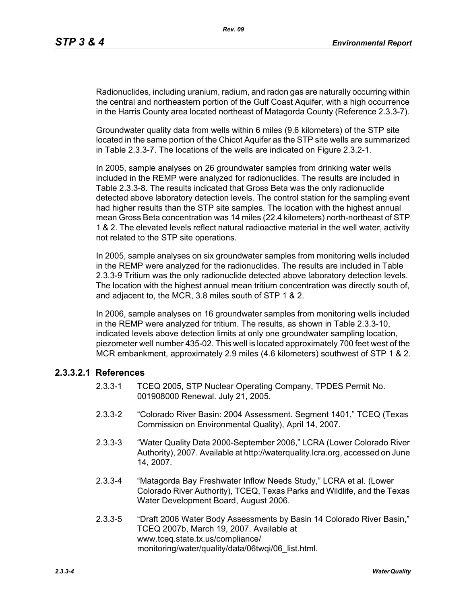Radionuclides, including uranium, radium, and radon gas are naturally occurring within the central and northeastern portion of the Gulf Coast Aquifer, with a high occurrence in the Harris County area located northeast of Matagorda County (Reference 2.3.3-7).

Groundwater quality data from wells within 6 miles (9.6 kilometers) of the STP site located in the same portion of the Chicot Aquifer as the STP site wells are summarized in Table 2.3.3-7. The locations of the wells are indicated on Figure 2.3.2-1.

In 2005, sample analyses on 26 groundwater samples from drinking water wells included in the REMP were analyzed for radionuclides. The results are included in Table 2.3.3-8. The results indicated that Gross Beta was the only radionuclide detected above laboratory detection levels. The control station for the sampling event had higher results than the STP site samples. The location with the highest annual mean Gross Beta concentration was 14 miles (22.4 kilometers) north-northeast of STP 1 & 2. The elevated levels reflect natural radioactive material in the well water, activity not related to the STP site operations.

In 2005, sample analyses on six groundwater samples from monitoring wells included in the REMP were analyzed for the radionuclides. The results are included in Table 2.3.3-9 Tritium was the only radionuclide detected above laboratory detection levels. The location with the highest annual mean tritium concentration was directly south of, and adjacent to, the MCR, 3.8 miles south of STP 1 & 2.

In 2006, sample analyses on 16 groundwater samples from monitoring wells included in the REMP were analyzed for tritium. The results, as shown in Table 2.3.3-10, indicated levels above detection limits at only one groundwater sampling location, piezometer well number 435-02. This well is located approximately 700 feet west of the MCR embankment, approximately 2.9 miles (4.6 kilometers) southwest of STP 1 & 2.

## **2.3.3.2.1 References**

- 2.3.3-1 TCEQ 2005, STP Nuclear Operating Company, TPDES Permit No. 001908000 Renewal. July 21, 2005.
- 2.3.3-2 "Colorado River Basin: 2004 Assessment. Segment 1401," TCEQ (Texas Commission on Environmental Quality), April 14, 2007.
- 2.3.3-3 "Water Quality Data 2000-September 2006," LCRA (Lower Colorado River Authority), 2007. Available at http://waterquality.lcra.org, accessed on June 14, 2007.
- 2.3.3-4 "Matagorda Bay Freshwater Inflow Needs Study," LCRA et al. (Lower Colorado River Authority), TCEQ, Texas Parks and Wildlife, and the Texas Water Development Board, August 2006.
- 2.3.3-5 "Draft 2006 Water Body Assessments by Basin 14 Colorado River Basin," TCEQ 2007b, March 19, 2007. Available at www.tceq.state.tx.us/compliance/ monitoring/water/quality/data/06twqi/06\_list.html.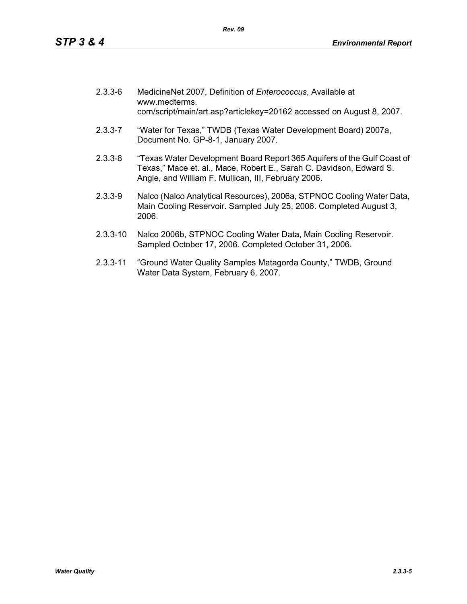| $2.3.3 - 6$ | MedicineNet 2007, Definition of Enterococcus, Available at<br>www.medterms.<br>com/script/main/art.asp?articlekey=20162 accessed on August 8, 2007.                                                   |
|-------------|-------------------------------------------------------------------------------------------------------------------------------------------------------------------------------------------------------|
| $2.3.3 - 7$ | "Water for Texas," TWDB (Texas Water Development Board) 2007a,<br>Document No. GP-8-1, January 2007.                                                                                                  |
| $2.3.3 - 8$ | "Texas Water Development Board Report 365 Aquifers of the Gulf Coast of<br>Texas," Mace et. al., Mace, Robert E., Sarah C. Davidson, Edward S.<br>Angle, and William F. Mullican, III, February 2006. |
| $2.3.3$ -0  | Nalco (Nalco Analytical Resources), 2006a, STPNOC Cooling Water Data                                                                                                                                  |

- 2.3.3-9 Nalco (Nalco Analytical Resources), 2006a, STPNOC Cooling Water Data, Main Cooling Reservoir. Sampled July 25, 2006. Completed August 3, 2006.
- 2.3.3-10 Nalco 2006b, STPNOC Cooling Water Data, Main Cooling Reservoir. Sampled October 17, 2006. Completed October 31, 2006.
- 2.3.3-11 "Ground Water Quality Samples Matagorda County," TWDB, Ground Water Data System, February 6, 2007.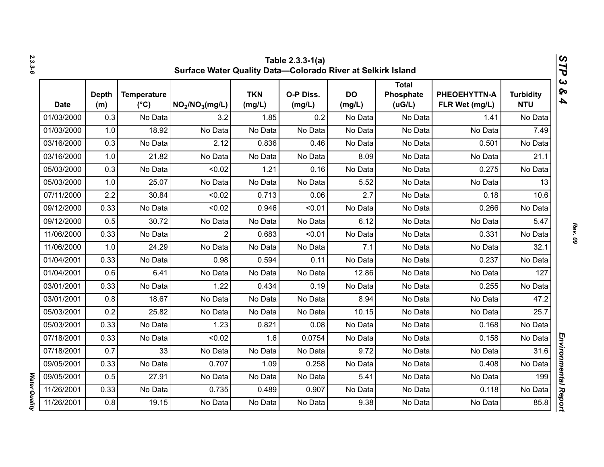| 2.3.3-6              |             | STP<br>Table 2.3.3-1(a)<br>Surface Water Quality Data-Colorado River at Selkirk Island |                                     |                                         |                      |                     |                     |                                     |                                |                                |                                                  |  |
|----------------------|-------------|----------------------------------------------------------------------------------------|-------------------------------------|-----------------------------------------|----------------------|---------------------|---------------------|-------------------------------------|--------------------------------|--------------------------------|--------------------------------------------------|--|
|                      | <b>Date</b> | <b>Depth</b><br>(m)                                                                    | <b>Temperature</b><br>$(^{\circ}C)$ | NO <sub>2</sub> /NO <sub>3</sub> (mg/L) | <b>TKN</b><br>(mg/L) | O-P Diss.<br>(mg/L) | <b>DO</b><br>(mg/L) | <b>Total</b><br>Phosphate<br>(UG/L) | PHEOEHYTTN-A<br>FLR Wet (mg/L) | <b>Turbidity</b><br><b>NTU</b> | $\boldsymbol{\omega}$<br>ନ୍ତ<br>$\blacktriangle$ |  |
|                      | 01/03/2000  | 0.3                                                                                    | No Data                             | 3.2                                     | 1.85                 | 0.2                 | No Data             | No Data                             | 1.41                           | No Data                        |                                                  |  |
|                      | 01/03/2000  | 1.0                                                                                    | 18.92                               | No Data                                 | No Data              | No Data             | No Data             | No Data                             | No Data                        | 7.49                           |                                                  |  |
|                      | 03/16/2000  | 0.3                                                                                    | No Data                             | 2.12                                    | 0.836                | 0.46                | No Data             | No Data                             | 0.501                          | No Data                        |                                                  |  |
|                      | 03/16/2000  | 1.0                                                                                    | 21.82                               | No Data                                 | No Data              | No Data             | 8.09                | No Data                             | No Data                        | 21.1                           |                                                  |  |
|                      | 05/03/2000  | 0.3                                                                                    | No Data                             | < 0.02                                  | 1.21                 | 0.16                | No Data             | No Data                             | 0.275                          | No Data                        |                                                  |  |
|                      | 05/03/2000  | 1.0                                                                                    | 25.07                               | No Data                                 | No Data              | No Data             | 5.52                | No Data                             | No Data                        | 13                             |                                                  |  |
|                      | 07/11/2000  | 2.2                                                                                    | 30.84                               | < 0.02                                  | 0.713                | 0.06                | 2.7                 | No Data                             | 0.18                           | 10.6                           |                                                  |  |
|                      | 09/12/2000  | 0.33                                                                                   | No Data                             | < 0.02                                  | 0.946                | < 0.01              | No Data             | No Data                             | 0.266                          | No Data                        |                                                  |  |
|                      | 09/12/2000  | 0.5                                                                                    | 30.72                               | No Data                                 | No Data              | No Data             | 6.12                | No Data                             | No Data                        | 5.47                           |                                                  |  |
|                      | 11/06/2000  | 0.33                                                                                   | No Data                             | $\overline{2}$                          | 0.683                | < 0.01              | No Data             | No Data                             | 0.331                          | No Data                        |                                                  |  |
|                      | 11/06/2000  | 1.0                                                                                    | 24.29                               | No Data                                 | No Data              | No Data             | 7.1                 | No Data                             | No Data                        | 32.1                           |                                                  |  |
|                      | 01/04/2001  | 0.33                                                                                   | No Data                             | 0.98                                    | 0.594                | 0.11                | No Data             | No Data                             | 0.237                          | No Data                        |                                                  |  |
|                      | 01/04/2001  | 0.6                                                                                    | 6.41                                | No Data                                 | No Data              | No Data             | 12.86               | No Data                             | No Data                        | 127                            |                                                  |  |
|                      | 03/01/2001  | 0.33                                                                                   | No Data                             | 1.22                                    | 0.434                | 0.19                | No Data             | No Data                             | 0.255                          | No Data                        |                                                  |  |
|                      | 03/01/2001  | 0.8                                                                                    | 18.67                               | No Data                                 | No Data              | No Data             | 8.94                | No Data                             | No Data                        | 47.2                           |                                                  |  |
|                      | 05/03/2001  | 0.2                                                                                    | 25.82                               | No Data                                 | No Data              | No Data             | 10.15               | No Data                             | No Data                        | 25.7                           |                                                  |  |
|                      | 05/03/2001  | 0.33                                                                                   | No Data                             | 1.23                                    | 0.821                | 0.08                | No Data             | No Data                             | 0.168                          | No Data                        |                                                  |  |
|                      | 07/18/2001  | 0.33                                                                                   | No Data                             | < 0.02                                  | 1.6                  | 0.0754              | No Data             | No Data                             | 0.158                          | No Data                        |                                                  |  |
|                      | 07/18/2001  | 0.7                                                                                    | 33                                  | No Data                                 | No Data              | No Data             | 9.72                | No Data                             | No Data                        | 31.6                           |                                                  |  |
|                      | 09/05/2001  | 0.33                                                                                   | No Data                             | 0.707                                   | 1.09                 | 0.258               | No Data             | No Data                             | 0.408                          | No Data                        |                                                  |  |
|                      | 09/05/2001  | 0.5                                                                                    | 27.91                               | No Data                                 | No Data              | No Data             | 5.41                | No Data                             | No Data                        | 199                            |                                                  |  |
|                      | 11/26/2001  | 0.33                                                                                   | No Data                             | 0.735                                   | 0.489                | 0.907               | No Data             | No Data                             | 0.118                          | No Data                        |                                                  |  |
| <b>Water Quality</b> | 11/26/2001  | 0.8                                                                                    | 19.15                               | No Data                                 | No Data              | No Data             | 9.38                | No Data                             | No Data                        | 85.8                           | Environmental Report                             |  |

*2.3.3-6*

*Rev. 09*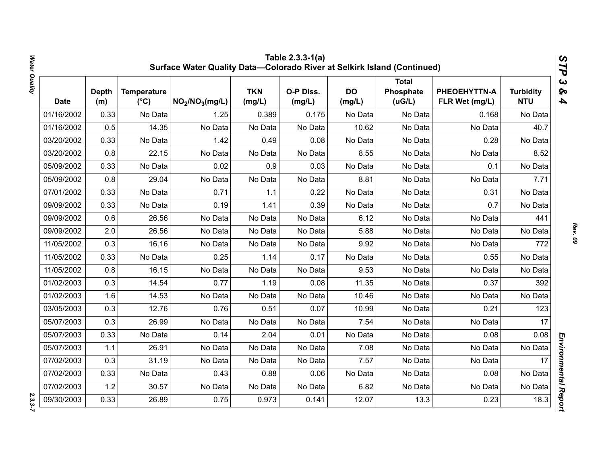|            | Table 2.3.3-1(a)<br>STP<br>Surface Water Quality Data-Colorado River at Selkirk Island (Continued) |                                     |                                         |                      |                     |                     |                                      |                                |                                |                                                  |  |  |
|------------|----------------------------------------------------------------------------------------------------|-------------------------------------|-----------------------------------------|----------------------|---------------------|---------------------|--------------------------------------|--------------------------------|--------------------------------|--------------------------------------------------|--|--|
| Date       | <b>Depth</b><br>(m)                                                                                | <b>Temperature</b><br>$(^{\circ}C)$ | NO <sub>2</sub> /NO <sub>3</sub> (mg/L) | <b>TKN</b><br>(mg/L) | O-P Diss.<br>(mg/L) | <b>DO</b><br>(mg/L) | <b>Total</b><br>Phosphate<br>( uG/L) | PHEOEHYTTN-A<br>FLR Wet (mg/L) | <b>Turbidity</b><br><b>NTU</b> | $\boldsymbol{\omega}$<br>ନ୍ତ<br>$\blacktriangle$ |  |  |
| 01/16/2002 | 0.33                                                                                               | No Data                             | 1.25                                    | 0.389                | 0.175               | No Data             | No Data                              | 0.168                          | No Data                        |                                                  |  |  |
| 01/16/2002 | 0.5                                                                                                | 14.35                               | No Data                                 | No Data              | No Data             | 10.62               | No Data                              | No Data                        | 40.7                           |                                                  |  |  |
| 03/20/2002 | 0.33                                                                                               | No Data                             | 1.42                                    | 0.49                 | 0.08                | No Data             | No Data                              | 0.28                           | No Data                        |                                                  |  |  |
| 03/20/2002 | 0.8                                                                                                | 22.15                               | No Data                                 | No Data              | No Data             | 8.55                | No Data                              | No Data                        | 8.52                           |                                                  |  |  |
| 05/09/2002 | 0.33                                                                                               | No Data                             | 0.02                                    | 0.9                  | 0.03                | No Data             | No Data                              | 0.1                            | No Data                        |                                                  |  |  |
| 05/09/2002 | 0.8                                                                                                | 29.04                               | No Data                                 | No Data              | No Data             | 8.81                | No Data                              | No Data                        | 7.71                           |                                                  |  |  |
| 07/01/2002 | 0.33                                                                                               | No Data                             | 0.71                                    | 1.1                  | 0.22                | No Data             | No Data                              | 0.31                           | No Data                        |                                                  |  |  |
| 09/09/2002 | 0.33                                                                                               | No Data                             | 0.19                                    | 1.41                 | 0.39                | No Data             | No Data                              | 0.7                            | No Data                        |                                                  |  |  |
| 09/09/2002 | 0.6                                                                                                | 26.56                               | No Data                                 | No Data              | No Data             | 6.12                | No Data                              | No Data                        | 441                            |                                                  |  |  |
| 09/09/2002 | 2.0                                                                                                | 26.56                               | No Data                                 | No Data              | No Data             | 5.88                | No Data                              | No Data                        | No Data                        |                                                  |  |  |
| 11/05/2002 | 0.3                                                                                                | 16.16                               | No Data                                 | No Data              | No Data             | 9.92                | No Data                              | No Data                        | 772                            |                                                  |  |  |
| 11/05/2002 | 0.33                                                                                               | No Data                             | 0.25                                    | 1.14                 | 0.17                | No Data             | No Data                              | 0.55                           | No Data                        |                                                  |  |  |
| 11/05/2002 | 0.8                                                                                                | 16.15                               | No Data                                 | No Data              | No Data             | 9.53                | No Data                              | No Data                        | No Data                        |                                                  |  |  |
| 01/02/2003 | 0.3                                                                                                | 14.54                               | 0.77                                    | 1.19                 | 0.08                | 11.35               | No Data                              | 0.37                           | 392                            |                                                  |  |  |
| 01/02/2003 | 1.6                                                                                                | 14.53                               | No Data                                 | No Data              | No Data             | 10.46               | No Data                              | No Data                        | No Data                        |                                                  |  |  |
| 03/05/2003 | 0.3                                                                                                | 12.76                               | 0.76                                    | 0.51                 | 0.07                | 10.99               | No Data                              | 0.21                           | 123                            |                                                  |  |  |
| 05/07/2003 | 0.3                                                                                                | 26.99                               | No Data                                 | No Data              | No Data             | 7.54                | No Data                              | No Data                        | 17                             |                                                  |  |  |
| 05/07/2003 | 0.33                                                                                               | No Data                             | 0.14                                    | 2.04                 | 0.01                | No Data             | No Data                              | 0.08                           | 0.08                           |                                                  |  |  |
| 05/07/2003 | 1.1                                                                                                | 26.91                               | No Data                                 | No Data              | No Data             | 7.08                | No Data                              | No Data                        | No Data                        |                                                  |  |  |
| 07/02/2003 | 0.3                                                                                                | 31.19                               | No Data                                 | No Data              | No Data             | 7.57                | No Data                              | No Data                        | 17                             |                                                  |  |  |
| 07/02/2003 | 0.33                                                                                               | No Data                             | 0.43                                    | 0.88                 | 0.06                | No Data             | No Data                              | 0.08                           | No Data                        |                                                  |  |  |
| 07/02/2003 | 1.2                                                                                                | 30.57                               | No Data                                 | No Data              | No Data             | 6.82                | No Data                              | No Data                        | No Data                        |                                                  |  |  |
| 09/30/2003 | 0.33                                                                                               | 26.89                               | 0.75                                    | 0.973                | 0.141               | 12.07               | 13.3                                 | 0.23                           | 18.3                           | Environmental Report                             |  |  |

*Rev. 09*

 $2.3.3 - 7$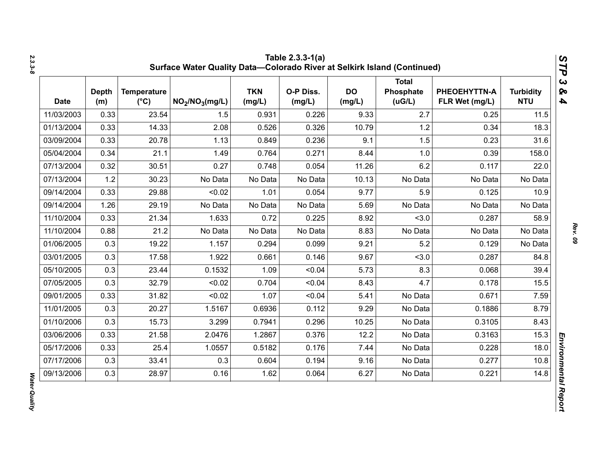| <b>Date</b> | <b>Depth</b><br>(m) | <b>Temperature</b><br>$(^{\circ}C)$ | NO <sub>2</sub> /NO <sub>3</sub> (mg/L) | <b>TKN</b><br>(mg/L) | O-P Diss.<br>(mg/L) | <b>DO</b><br>(mg/L) | <b>Total</b><br>Phosphate<br>(UG/L) | PHEOEHYTTN-A<br>FLR Wet (mg/L) | <b>Turbidity</b><br><b>NTU</b> |
|-------------|---------------------|-------------------------------------|-----------------------------------------|----------------------|---------------------|---------------------|-------------------------------------|--------------------------------|--------------------------------|
| 11/03/2003  | 0.33                | 23.54                               | 1.5                                     | 0.931                | 0.226               | 9.33                | 2.7                                 | 0.25                           | 11.5                           |
| 01/13/2004  | 0.33                | 14.33                               | 2.08                                    | 0.526                | 0.326               | 10.79               | 1.2                                 | 0.34                           | 18.3                           |
| 03/09/2004  | 0.33                | 20.78                               | 1.13                                    | 0.849                | 0.236               | 9.1                 | 1.5                                 | 0.23                           | 31.6                           |
| 05/04/2004  | 0.34                | 21.1                                | 1.49                                    | 0.764                | 0.271               | 8.44                | 1.0                                 | 0.39                           | 158.0                          |
| 07/13/2004  | 0.32                | 30.51                               | 0.27                                    | 0.748                | 0.054               | 11.26               | 6.2                                 | 0.117                          | 22.0                           |
| 07/13/2004  | 1.2                 | 30.23                               | No Data                                 | No Data              | No Data             | 10.13               | No Data                             | No Data                        | No Data                        |
| 09/14/2004  | 0.33                | 29.88                               | < 0.02                                  | 1.01                 | 0.054               | 9.77                | 5.9                                 | 0.125                          | 10.9                           |
| 09/14/2004  | 1.26                | 29.19                               | No Data                                 | No Data              | No Data             | 5.69                | No Data                             | No Data                        | No Data                        |
| 11/10/2004  | 0.33                | 21.34                               | 1.633                                   | 0.72                 | 0.225               | 8.92                | < 3.0                               | 0.287                          | 58.9                           |
| 11/10/2004  | 0.88                | 21.2                                | No Data                                 | No Data              | No Data             | 8.83                | No Data                             | No Data                        | No Data                        |
| 01/06/2005  | 0.3                 | 19.22                               | 1.157                                   | 0.294                | 0.099               | 9.21                | 5.2                                 | 0.129                          | No Data                        |
| 03/01/2005  | 0.3                 | 17.58                               | 1.922                                   | 0.661                | 0.146               | 9.67                | < 3.0                               | 0.287                          | 84.8                           |
| 05/10/2005  | 0.3                 | 23.44                               | 0.1532                                  | 1.09                 | < 0.04              | 5.73                | 8.3                                 | 0.068                          | 39.4                           |
| 07/05/2005  | 0.3                 | 32.79                               | < 0.02                                  | 0.704                | < 0.04              | 8.43                | 4.7                                 | 0.178                          | 15.5                           |
| 09/01/2005  | 0.33                | 31.82                               | < 0.02                                  | 1.07                 | < 0.04              | 5.41                | No Data                             | 0.671                          | 7.59                           |
| 11/01/2005  | 0.3                 | 20.27                               | 1.5167                                  | 0.6936               | 0.112               | 9.29                | No Data                             | 0.1886                         | 8.79                           |
| 01/10/2006  | 0.3                 | 15.73                               | 3.299                                   | 0.7941               | 0.296               | 10.25               | No Data                             | 0.3105                         | 8.43                           |
| 03/06/2006  | 0.33                | 21.58                               | 2.0476                                  | 1.2867               | 0.376               | 12.2                | No Data                             | 0.3163                         | 15.3                           |
| 05/17/2006  | 0.33                | 25.4                                | 1.0557                                  | 0.5182               | 0.176               | 7.44                | No Data                             | 0.228                          | 18.0                           |
| 07/17/2006  | 0.3                 | 33.41                               | 0.3                                     | 0.604                | 0.194               | 9.16                | No Data                             | 0.277                          | 10.8                           |
| 09/13/2006  | 0.3                 | 28.97                               | 0.16                                    | 1.62                 | 0.064               | 6.27                | No Data                             | 0.221                          | 14.8                           |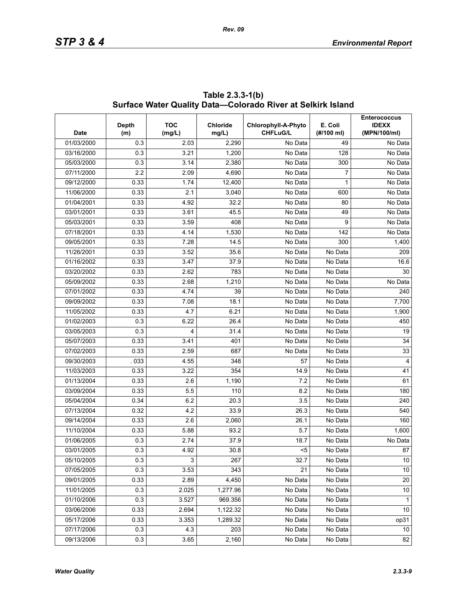| <b>Date</b> | Depth<br>(m) | <b>TOC</b><br>(mg/L) | <b>Chloride</b><br>mg/L) | Chlorophyll-A-Phyto<br><b>CHFLuG/L</b> | E. Coli<br>(#/100 ml) | <b>Enterococcus</b><br><b>IDEXX</b><br>(MPN/100/ml) |
|-------------|--------------|----------------------|--------------------------|----------------------------------------|-----------------------|-----------------------------------------------------|
| 01/03/2000  | 0.3          | 2.03                 | 2,290                    | No Data                                | 49                    | No Data                                             |
| 03/16/2000  | 0.3          | 3.21                 | 1,200                    | No Data                                | 128                   | No Data                                             |
| 05/03/2000  | 0.3          | 3.14                 | 2,380                    | No Data                                | 300                   | No Data                                             |
| 07/11/2000  | 2.2          | 2.09                 | 4,690                    | No Data                                | $\overline{7}$        | No Data                                             |
| 09/12/2000  | 0.33         | 1.74                 | 12,400                   | No Data                                | 1                     | No Data                                             |
| 11/06/2000  | 0.33         | 2.1                  | 3,040                    | No Data                                | 600                   | No Data                                             |
| 01/04/2001  | 0.33         | 4.92                 | 32.2                     | No Data                                | 80                    | No Data                                             |
| 03/01/2001  | 0.33         | 3.61                 | 45.5                     | No Data                                | 49                    | No Data                                             |
| 05/03/2001  | 0.33         | 3.59                 | 408                      | No Data                                | 9                     | No Data                                             |
| 07/18/2001  | 0.33         | 4.14                 | 1,530                    | No Data                                | 142                   | No Data                                             |
| 09/05/2001  | 0.33         | 7.28                 | 14.5                     | No Data                                | 300                   | 1,400                                               |
| 11/26/2001  | 0.33         | 3.52                 | 35.6                     | No Data                                | No Data               | 209                                                 |
| 01/16/2002  | 0.33         | 3.47                 | 37.9                     | No Data                                | No Data               | 16.6                                                |
| 03/20/2002  | 0.33         | 2.62                 | 783                      | No Data                                | No Data               | 30                                                  |
| 05/09/2002  | 0.33         | 2.68                 | 1,210                    | No Data                                | No Data               | No Data                                             |
| 07/01/2002  | 0.33         | 4.74                 | 39                       | No Data                                | No Data               | 240                                                 |
| 09/09/2002  | 0.33         | 7.08                 | 18.1                     | No Data                                | No Data               | 7,700                                               |
| 11/05/2002  | 0.33         | 4.7                  | 6.21                     | No Data                                | No Data               | 1,900                                               |
| 01/02/2003  | 0.3          | 6.22                 | 26.4                     | No Data                                | No Data               | 450                                                 |
| 03/05/2003  | 0.3          | 4                    | 31.4                     | No Data                                | No Data               | 19                                                  |
| 05/07/2003  | 0.33         | 3.41                 | 401                      | No Data                                | No Data               | 34                                                  |
| 07/02/2003  | 0.33         | 2.59                 | 687                      | No Data                                | No Data               | 33                                                  |
| 09/30/2003  | . 033        | 4.55                 | 348                      | 57                                     | No Data               | $\overline{4}$                                      |
| 11/03/2003  | 0.33         | 3.22                 | 354                      | 14.9                                   | No Data               | 41                                                  |
| 01/13/2004  | 0.33         | 2.6                  | 1,190                    | 7.2                                    | No Data               | 61                                                  |
| 03/09/2004  | 0.33         | 5.5                  | 110                      | 8.2                                    | No Data               | 180                                                 |
| 05/04/2004  | 0.34         | 6.2                  | 20.3                     | 3.5                                    | No Data               | 240                                                 |
| 07/13/2004  | 0.32         | 4.2                  | 33.9                     | 26.3                                   | No Data               | 540                                                 |
| 09/14/2004  | 0.33         | 2.6                  | 2,060                    | 26.1                                   | No Data               | 160                                                 |
| 11/10/2004  | 0.33         | 5.88                 | 93.2                     | 5.7                                    | No Data               | 1,600                                               |
| 01/06/2005  | 0.3          | 2.74                 | 37.9                     | 18.7                                   | No Data               | No Data                                             |
| 03/01/2005  | 0.3          | 4.92                 | 30.8                     | $5$                                    | No Data               | 87                                                  |
| 05/10/2005  | 0.3          | 3                    | 267                      | 32.7                                   | No Data               | 10                                                  |
| 07/05/2005  | 0.3          | 3.53                 | 343                      | 21                                     | No Data               | $10\,$                                              |
| 09/01/2005  | 0.33         | 2.89                 | 4,450                    | No Data                                | No Data               | 20                                                  |
| 11/01/2005  | 0.3          | 2.025                | 1,277.96                 | No Data                                | No Data               | $10\,$                                              |
| 01/10/2006  | 0.3          | 3.527                | 969.356                  | No Data                                | No Data               | $\mathbf{1}$                                        |
| 03/06/2006  | 0.33         | 2.694                | 1,122.32                 | No Data                                | No Data               | 10                                                  |
| 05/17/2006  | 0.33         | 3.353                | 1,289.32                 | No Data                                | No Data               | op31                                                |
| 07/17/2006  | 0.3          | 4.3                  | 203                      | No Data                                | No Data               | 10                                                  |
| 09/13/2006  | 0.3          | 3.65                 | 2,160                    | No Data                                | No Data               | 82                                                  |

**Table 2.3.3-1(b) Surface Water Quality Data—Colorado River at Selkirk Island**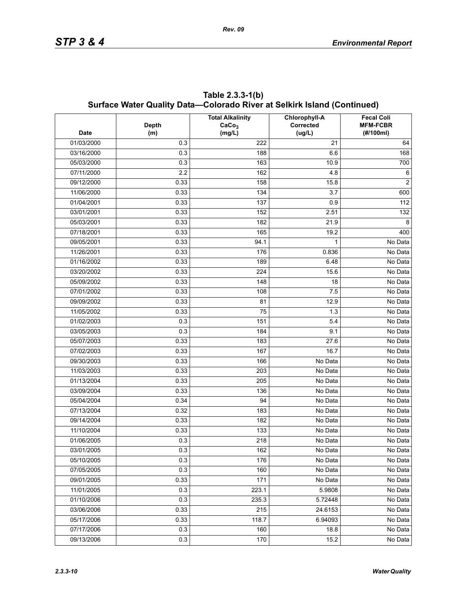| <b>Date</b> | <b>Depth</b><br>(m) | <b>Total Alkalinity</b><br>CaCo <sub>3</sub><br>(mg/L) | <b>Chlorophyll-A</b><br>Corrected<br>(ug/L) | <b>Fecal Coli</b><br><b>MFM-FCBR</b><br>(#/100ml) |
|-------------|---------------------|--------------------------------------------------------|---------------------------------------------|---------------------------------------------------|
| 01/03/2000  | 0.3                 | 222                                                    | 21                                          | 64                                                |
| 03/16/2000  | 0.3                 | 188                                                    | 6.6                                         | 168                                               |
| 05/03/2000  | 0.3                 | 163                                                    | 10.9                                        | 700                                               |
| 07/11/2000  | 2.2                 | 162                                                    | 4.8                                         | 6                                                 |
| 09/12/2000  | 0.33                | 158                                                    | 15.8                                        | 2                                                 |
| 11/06/2000  | 0.33                | 134                                                    | 3.7                                         | 600                                               |
| 01/04/2001  | 0.33                | 137                                                    | 0.9                                         | 112                                               |
| 03/01/2001  | 0.33                | 152                                                    | 2.51                                        | 132                                               |
| 05/03/2001  | 0.33                | 182                                                    | 21.9                                        | 8                                                 |
| 07/18/2001  | 0.33                | 165                                                    | 19.2                                        | 400                                               |
| 09/05/2001  | 0.33                | 94.1                                                   | 1                                           | No Data                                           |
| 11/26/2001  | 0.33                | 176                                                    | 0.836                                       | No Data                                           |
| 01/16/2002  | 0.33                | 189                                                    | 6.48                                        | No Data                                           |
| 03/20/2002  | 0.33                | 224                                                    | 15.6                                        | No Data                                           |
| 05/09/2002  | 0.33                | 148                                                    | 18                                          | No Data                                           |
| 07/01/2002  | 0.33                | 108                                                    | 7.5                                         | No Data                                           |
| 09/09/2002  | 0.33                | 81                                                     | 12.9                                        | No Data                                           |
| 11/05/2002  | 0.33                | 75                                                     | 1.3                                         | No Data                                           |
| 01/02/2003  | 0.3                 | 151                                                    | 5.4                                         | No Data                                           |
| 03/05/2003  | 0.3                 | 184                                                    | 9.1                                         | No Data                                           |
| 05/07/2003  | 0.33                | 183                                                    | 27.6                                        | No Data                                           |
| 07/02/2003  | 0.33                | 167                                                    | 16.7                                        | No Data                                           |
| 09/30/2003  | 0.33                | 166                                                    | No Data                                     | No Data                                           |
| 11/03/2003  | 0.33                | 203                                                    | No Data                                     | No Data                                           |
| 01/13/2004  | 0.33                | 205                                                    | No Data                                     | No Data                                           |
| 03/09/2004  | 0.33                | 136                                                    | No Data                                     | $\overline{No}$ Data                              |
| 05/04/2004  | 0.34                | 94                                                     | No Data                                     | No Data                                           |
| 07/13/2004  | 0.32                | 183                                                    | No Data                                     | No Data                                           |
| 09/14/2004  | 0.33                | 182                                                    | No Data                                     | No Data                                           |
| 11/10/2004  | 0.33                | 133                                                    | No Data                                     | No Data                                           |
| 01/06/2005  | 0.3                 | 218                                                    | No Data                                     | No Data                                           |
| 03/01/2005  | 0.3                 | 162                                                    | No Data                                     | No Data                                           |
| 05/10/2005  | 0.3                 | 176                                                    | No Data                                     | No Data                                           |
| 07/05/2005  | 0.3                 | 160                                                    | No Data                                     | No Data                                           |
| 09/01/2005  | 0.33                | 171                                                    | No Data                                     | No Data                                           |
| 11/01/2005  | 0.3                 | 223.1                                                  | 5.9808                                      | No Data                                           |
| 01/10/2006  | 0.3                 | 235.3                                                  | 5.72448                                     | No Data                                           |
| 03/06/2006  | 0.33                | 215                                                    | 24.6153                                     | No Data                                           |
| 05/17/2006  | 0.33                | 118.7                                                  | 6.94093                                     | No Data                                           |
| 07/17/2006  | 0.3                 | 160                                                    | 18.8                                        | No Data                                           |
| 09/13/2006  | 0.3                 | 170                                                    | 15.2                                        | No Data                                           |

**Table 2.3.3-1(b) Surface Water Quality Data—Colorado River at Selkirk Island (Continued)**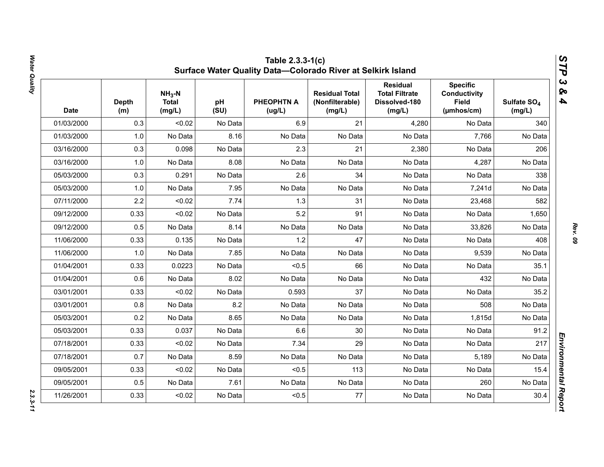| <b>Date</b> | <b>Depth</b><br>(m) | $NH3-N$<br><b>Total</b><br>(mg/L) | pH<br>(SU) | <b>PHEOPHTN A</b><br>(ug/L) | <b>Residual Total</b><br>(Nonfilterable)<br>(mg/L) | <b>Residual</b><br><b>Total Filtrate</b><br>Dissolved-180<br>(mg/L) | <b>Specific</b><br><b>Conductivity</b><br><b>Field</b><br>(µmhos/cm) | Sulfate SO <sub>4</sub><br>(mg/L) |
|-------------|---------------------|-----------------------------------|------------|-----------------------------|----------------------------------------------------|---------------------------------------------------------------------|----------------------------------------------------------------------|-----------------------------------|
| 01/03/2000  | 0.3                 | < 0.02                            | No Data    | 6.9                         | 21                                                 | 4,280                                                               | No Data                                                              | 340                               |
| 01/03/2000  | 1.0                 | No Data                           | 8.16       | No Data                     | No Data                                            | No Data                                                             | 7,766                                                                | No Data                           |
| 03/16/2000  | 0.3                 | 0.098                             | No Data    | 2.3                         | 21                                                 | 2,380                                                               | No Data                                                              | 206                               |
| 03/16/2000  | 1.0                 | No Data                           | 8.08       | No Data                     | No Data                                            | No Data                                                             | 4,287                                                                | No Data                           |
| 05/03/2000  | 0.3                 | 0.291                             | No Data    | 2.6                         | 34                                                 | No Data                                                             | No Data                                                              | 338                               |
| 05/03/2000  | 1.0                 | No Data                           | 7.95       | No Data                     | No Data                                            | No Data                                                             | 7,241d                                                               | No Data                           |
| 07/11/2000  | 2.2                 | < 0.02                            | 7.74       | 1.3                         | 31                                                 | No Data                                                             | 23,468                                                               | 582                               |
| 09/12/2000  | 0.33                | < 0.02                            | No Data    | 5.2                         | 91                                                 | No Data                                                             | No Data                                                              | 1,650                             |
| 09/12/2000  | 0.5                 | No Data                           | 8.14       | No Data                     | No Data                                            | No Data                                                             | 33,826                                                               | No Data                           |
| 11/06/2000  | 0.33                | 0.135                             | No Data    | 1.2                         | 47                                                 | No Data                                                             | No Data                                                              | 408                               |
| 11/06/2000  | 1.0                 | No Data                           | 7.85       | No Data                     | No Data                                            | No Data                                                             | 9,539                                                                | No Data                           |
| 01/04/2001  | 0.33                | 0.0223                            | No Data    | < 0.5                       | 66                                                 | No Data                                                             | No Data                                                              | 35.1                              |
| 01/04/2001  | 0.6                 | No Data                           | 8.02       | No Data                     | No Data                                            | No Data                                                             | 432                                                                  | No Data                           |
| 03/01/2001  | 0.33                | < 0.02                            | No Data    | 0.593                       | 37                                                 | No Data                                                             | No Data                                                              | 35.2                              |
| 03/01/2001  | 0.8                 | No Data                           | 8.2        | No Data                     | No Data                                            | No Data                                                             | 508                                                                  | No Data                           |
| 05/03/2001  | 0.2                 | No Data                           | 8.65       | No Data                     | No Data                                            | No Data                                                             | 1,815d                                                               | No Data                           |
| 05/03/2001  | 0.33                | 0.037                             | No Data    | 6.6                         | 30                                                 | No Data                                                             | No Data                                                              | 91.2                              |
| 07/18/2001  | 0.33                | < 0.02                            | No Data    | 7.34                        | 29                                                 | No Data                                                             | No Data                                                              | 217                               |
| 07/18/2001  | 0.7                 | No Data                           | 8.59       | No Data                     | No Data                                            | No Data                                                             | 5,189                                                                | No Data                           |
| 09/05/2001  | 0.33                | < 0.02                            | No Data    | < 0.5                       | 113                                                | No Data                                                             | No Data                                                              | 15.4                              |
| 09/05/2001  | 0.5                 | No Data                           | 7.61       | No Data                     | No Data                                            | No Data                                                             | 260                                                                  | No Data                           |
| 11/26/2001  | 0.33                | < 0.02                            | No Data    | < 0.5                       | 77                                                 | No Data                                                             | No Data                                                              | 30.4                              |

Water Quality *Water Quality 2.3.3-11*

*Rev. 09*

 $2.3.3 - 11$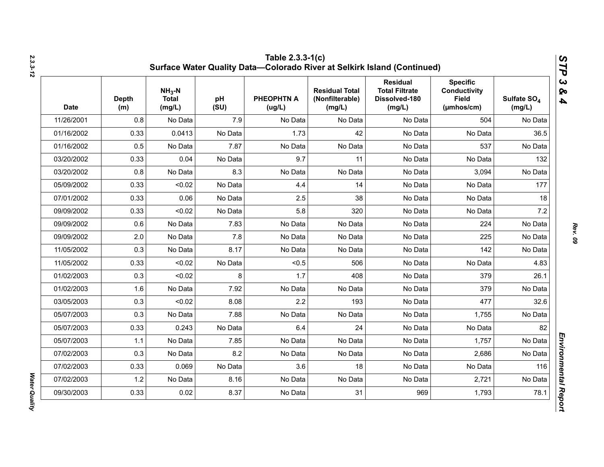| <b>Date</b> | <b>Depth</b><br>(m) | $NH3-N$<br><b>Total</b><br>(mg/L) | pH<br>(SU) | <b>PHEOPHTN A</b><br>(ug/L) | <b>Residual Total</b><br>(Nonfilterable)<br>(mg/L) | <b>Residual</b><br><b>Total Filtrate</b><br>Dissolved-180<br>(mg/L) | <b>Specific</b><br><b>Conductivity</b><br><b>Field</b><br>$(\mu m \text{hos/cm})$ | Sulfate SO <sub>4</sub><br>(mg/L) |
|-------------|---------------------|-----------------------------------|------------|-----------------------------|----------------------------------------------------|---------------------------------------------------------------------|-----------------------------------------------------------------------------------|-----------------------------------|
| 11/26/2001  | 0.8                 | No Data                           | 7.9        | No Data                     | No Data                                            | No Data                                                             | 504                                                                               | No Data                           |
| 01/16/2002  | 0.33                | 0.0413                            | No Data    | 1.73                        | 42                                                 | No Data                                                             | No Data                                                                           | 36.5                              |
| 01/16/2002  | 0.5                 | No Data                           | 7.87       | No Data                     | No Data                                            | No Data                                                             | 537                                                                               | No Data                           |
| 03/20/2002  | 0.33                | 0.04                              | No Data    | 9.7                         | 11                                                 | No Data                                                             | No Data                                                                           | 132                               |
| 03/20/2002  | 0.8                 | No Data                           | 8.3        | No Data                     | No Data                                            | No Data                                                             | 3,094                                                                             | No Data                           |
| 05/09/2002  | 0.33                | < 0.02                            | No Data    | 4.4                         | 14                                                 | No Data                                                             | No Data                                                                           | 177                               |
| 07/01/2002  | 0.33                | 0.06                              | No Data    | 2.5                         | 38                                                 | No Data                                                             | No Data                                                                           | 18                                |
| 09/09/2002  | 0.33                | < 0.02                            | No Data    | 5.8                         | 320                                                | No Data                                                             | No Data                                                                           | 7.2                               |
| 09/09/2002  | 0.6                 | No Data                           | 7.83       | No Data                     | No Data                                            | No Data                                                             | 224                                                                               | No Data                           |
| 09/09/2002  | 2.0                 | No Data                           | 7.8        | No Data                     | No Data                                            | No Data                                                             | 225                                                                               | No Data                           |
| 11/05/2002  | 0.3                 | No Data                           | 8.17       | No Data                     | No Data                                            | No Data                                                             | 142                                                                               | No Data                           |
| 11/05/2002  | 0.33                | < 0.02                            | No Data    | < 0.5                       | 506                                                | No Data                                                             | No Data                                                                           | 4.83                              |
| 01/02/2003  | 0.3                 | < 0.02                            | 8          | 1.7                         | 408                                                | No Data                                                             | 379                                                                               | 26.1                              |
| 01/02/2003  | 1.6                 | No Data                           | 7.92       | No Data                     | No Data                                            | No Data                                                             | 379                                                                               | No Data                           |
| 03/05/2003  | 0.3                 | < 0.02                            | 8.08       | 2.2                         | 193                                                | No Data                                                             | 477                                                                               | 32.6                              |
| 05/07/2003  | 0.3                 | No Data                           | 7.88       | No Data                     | No Data                                            | No Data                                                             | 1,755                                                                             | No Data                           |
| 05/07/2003  | 0.33                | 0.243                             | No Data    | 6.4                         | 24                                                 | No Data                                                             | No Data                                                                           | 82                                |
| 05/07/2003  | 1.1                 | No Data                           | 7.85       | No Data                     | No Data                                            | No Data                                                             | 1,757                                                                             | No Data                           |
| 07/02/2003  | 0.3                 | No Data                           | 8.2        | No Data                     | No Data                                            | No Data                                                             | 2,686                                                                             | No Data                           |
| 07/02/2003  | 0.33                | 0.069                             | No Data    | 3.6                         | 18                                                 | No Data                                                             | No Data                                                                           | 116                               |
| 07/02/2003  | 1.2                 | No Data                           | 8.16       | No Data                     | No Data                                            | No Data                                                             | 2,721                                                                             | No Data                           |
| 09/30/2003  | 0.33                | 0.02                              | 8.37       | No Data                     | 31                                                 | 969                                                                 | 1,793                                                                             | 78.1                              |

*Water Quality* 

Water Quality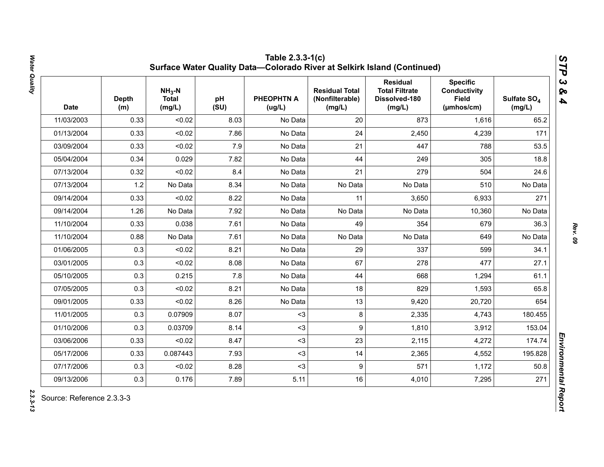| <b>Date</b> | <b>Depth</b><br>(m) | $NH3-N$<br><b>Total</b><br>(mg/L) | pH<br>(SU) | <b>PHEOPHTN A</b><br>(ug/L) | <b>Residual Total</b><br>(Nonfilterable)<br>(mg/L) | <b>Residual</b><br><b>Total Filtrate</b><br>Dissolved-180<br>(mg/L) | <b>Specific</b><br><b>Conductivity</b><br><b>Field</b><br>(µmhos/cm) | Sulfate SO <sub>4</sub><br>(mg/L) |
|-------------|---------------------|-----------------------------------|------------|-----------------------------|----------------------------------------------------|---------------------------------------------------------------------|----------------------------------------------------------------------|-----------------------------------|
| 11/03/2003  | 0.33                | < 0.02                            | 8.03       | No Data                     | 20                                                 | 873                                                                 | 1,616                                                                | 65.2                              |
| 01/13/2004  | 0.33                | < 0.02                            | 7.86       | No Data                     | 24                                                 | 2,450                                                               | 4,239                                                                | 171                               |
| 03/09/2004  | 0.33                | < 0.02                            | 7.9        | No Data                     | 21                                                 | 447                                                                 | 788                                                                  | 53.5                              |
| 05/04/2004  | 0.34                | 0.029                             | 7.82       | No Data                     | 44                                                 | 249                                                                 | 305                                                                  | 18.8                              |
| 07/13/2004  | 0.32                | < 0.02                            | 8.4        | No Data                     | 21                                                 | 279                                                                 | 504                                                                  | 24.6                              |
| 07/13/2004  | 1.2                 | No Data                           | 8.34       | No Data                     | No Data                                            | No Data                                                             | 510                                                                  | No Data                           |
| 09/14/2004  | 0.33                | < 0.02                            | 8.22       | No Data                     | 11                                                 | 3,650                                                               | 6,933                                                                | 271                               |
| 09/14/2004  | 1.26                | No Data                           | 7.92       | No Data                     | No Data                                            | No Data                                                             | 10,360                                                               | No Data                           |
| 11/10/2004  | 0.33                | 0.038                             | 7.61       | No Data                     | 49                                                 | 354                                                                 | 679                                                                  | 36.3                              |
| 11/10/2004  | 0.88                | No Data                           | 7.61       | No Data                     | No Data                                            | No Data                                                             | 649                                                                  | No Data                           |
| 01/06/2005  | 0.3                 | < 0.02                            | 8.21       | No Data                     | 29                                                 | 337                                                                 | 599                                                                  | 34.1                              |
| 03/01/2005  | 0.3                 | < 0.02                            | 8.08       | No Data                     | 67                                                 | 278                                                                 | 477                                                                  | 27.1                              |
| 05/10/2005  | 0.3                 | 0.215                             | 7.8        | No Data                     | 44                                                 | 668                                                                 | 1,294                                                                | 61.1                              |
| 07/05/2005  | 0.3                 | < 0.02                            | 8.21       | No Data                     | 18                                                 | 829                                                                 | 1,593                                                                | 65.8                              |
| 09/01/2005  | 0.33                | < 0.02                            | 8.26       | No Data                     | 13                                                 | 9,420                                                               | 20,720                                                               | 654                               |
| 11/01/2005  | 0.3                 | 0.07909                           | 8.07       | $3$                         | 8                                                  | 2,335                                                               | 4,743                                                                | 180.455                           |
| 01/10/2006  | 0.3                 | 0.03709                           | 8.14       | $3$                         | 9                                                  | 1,810                                                               | 3,912                                                                | 153.04                            |
| 03/06/2006  | 0.33                | < 0.02                            | 8.47       | $3$                         | 23                                                 | 2,115                                                               | 4,272                                                                | 174.74                            |
| 05/17/2006  | 0.33                | 0.087443                          | 7.93       | $3$                         | 14                                                 | 2,365                                                               | 4,552                                                                | 195.828                           |
| 07/17/2006  | 0.3                 | < 0.02                            | 8.28       | $3$                         | 9                                                  | 571                                                                 | 1,172                                                                | 50.8                              |
| 09/13/2006  | 0.3                 | 0.176                             | 7.89       | 5.11                        | 16                                                 | 4,010                                                               | 7,295                                                                | 271                               |

Water Quality *Water Quality 2.3.3-13*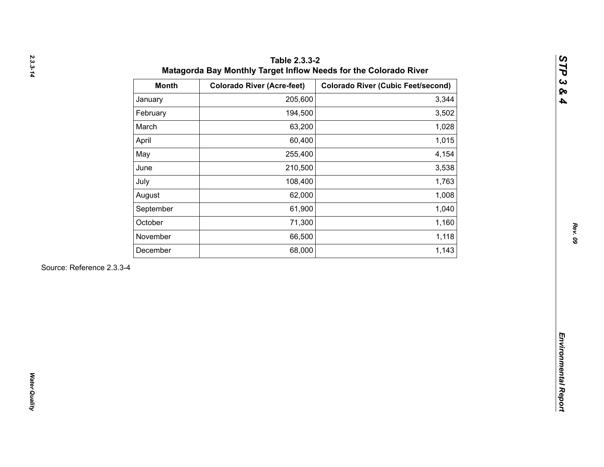| 205,600<br>January<br>194,500<br>February<br>March<br>63,200<br>60,400<br>April<br>May<br>255,400<br>210,500<br>June<br>108,400<br>July<br>62,000<br>August<br>61,900<br>September<br>October<br>71,300<br>66,500<br>November<br>68,000<br>December | 3,344<br>3,502<br>1,028<br>1,015<br>4,154<br>3,538<br>1,763<br>1,008<br>1,040 |
|-----------------------------------------------------------------------------------------------------------------------------------------------------------------------------------------------------------------------------------------------------|-------------------------------------------------------------------------------|
|                                                                                                                                                                                                                                                     |                                                                               |
|                                                                                                                                                                                                                                                     |                                                                               |
|                                                                                                                                                                                                                                                     |                                                                               |
|                                                                                                                                                                                                                                                     |                                                                               |
|                                                                                                                                                                                                                                                     |                                                                               |
|                                                                                                                                                                                                                                                     |                                                                               |
|                                                                                                                                                                                                                                                     |                                                                               |
|                                                                                                                                                                                                                                                     |                                                                               |
|                                                                                                                                                                                                                                                     |                                                                               |
|                                                                                                                                                                                                                                                     | 1,160                                                                         |
|                                                                                                                                                                                                                                                     | 1,118                                                                         |
|                                                                                                                                                                                                                                                     | 1,143                                                                         |
| Source: Reference 2.3.3-4                                                                                                                                                                                                                           |                                                                               |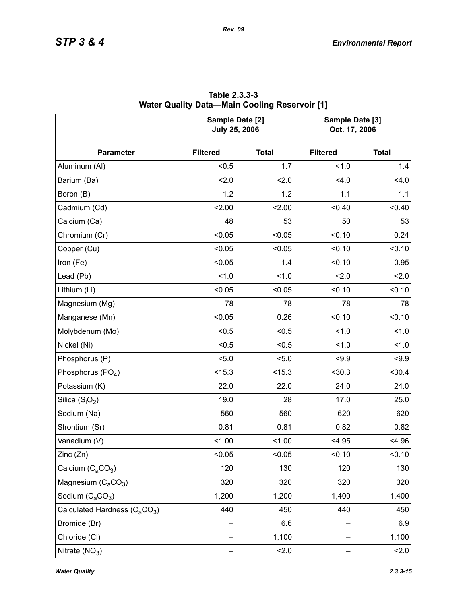|                                                       | Sample Date [2]<br><b>July 25, 2006</b> |              | Sample Date [3]<br>Oct. 17, 2006 |              |  |
|-------------------------------------------------------|-----------------------------------------|--------------|----------------------------------|--------------|--|
| <b>Parameter</b>                                      | <b>Filtered</b>                         | <b>Total</b> | <b>Filtered</b>                  | <b>Total</b> |  |
| Aluminum (Al)                                         | < 0.5                                   | 1.7          | 1.0                              | 1.4          |  |
| Barium (Ba)                                           | 2.0                                     | 2.0          | 4.0                              | 4.0          |  |
| Boron (B)                                             | 1.2                                     | 1.2          | 1.1                              | 1.1          |  |
| Cadmium (Cd)                                          | 2.00                                    | 2.00         | < 0.40                           | < 0.40       |  |
| Calcium (Ca)                                          | 48                                      | 53           | 50                               | 53           |  |
| Chromium (Cr)                                         | < 0.05                                  | < 0.05       | < 0.10                           | 0.24         |  |
| Copper (Cu)                                           | < 0.05                                  | < 0.05       | < 0.10                           | < 0.10       |  |
| Iron (Fe)                                             | < 0.05                                  | 1.4          | < 0.10                           | 0.95         |  |
| Lead (Pb)                                             | 1.0                                     | 1.0          | 2.0                              | 2.0          |  |
| Lithium (Li)                                          | < 0.05                                  | < 0.05       | < 0.10                           | < 0.10       |  |
| Magnesium (Mg)                                        | 78                                      | 78           | 78                               | 78           |  |
| Manganese (Mn)                                        | < 0.05                                  | 0.26         | < 0.10                           | < 0.10       |  |
| Molybdenum (Mo)                                       | < 0.5                                   | < 0.5        | 1.0                              | 1.0          |  |
| Nickel (Ni)                                           | < 0.5                                   | < 0.5        | 1.0                              | 1.0          |  |
| Phosphorus (P)                                        | < 5.0                                   | 5.0          | < 9.9                            | < 9.9        |  |
| Phosphorus (PO <sub>4</sub> )                         | < 15.3                                  | < 15.3       | $30.3$                           | $30.4$       |  |
| Potassium (K)                                         | 22.0                                    | 22.0         | 24.0                             | 24.0         |  |
| Silica $(S_iO_2)$                                     | 19.0                                    | 28           | 17.0                             | 25.0         |  |
| Sodium (Na)                                           | 560                                     | 560          | 620                              | 620          |  |
| Strontium (Sr)                                        | 0.81                                    | 0.81         | 0.82                             | 0.82         |  |
| Vanadium (V)                                          | < 1.00                                  | 1.00         | < 4.95                           | 4.96         |  |
| Zinc (Zn)                                             | < 0.05                                  | 0.05         | < 0.10                           | 0.10         |  |
| Calcium $(C_2CO_3)$                                   | 120                                     | 130          | 120                              | 130          |  |
| Magnesium $(C_aCO_3)$                                 | 320                                     | 320          | 320                              | 320          |  |
| Sodium $(C_aCO_3)$                                    | 1,200                                   | 1,200        | 1,400                            | 1,400        |  |
| Calculated Hardness (C <sub>a</sub> CO <sub>3</sub> ) | 440                                     | 450          | 440                              | 450          |  |
| Bromide (Br)                                          |                                         | 6.6          |                                  | 6.9          |  |
| Chloride (CI)                                         |                                         | 1,100        |                                  | 1,100        |  |
| Nitrate $(NO3)$                                       |                                         | 2.0          |                                  | 2.0          |  |

**Table 2.3.3-3 Water Quality Data—Main Cooling Reservoir [1]**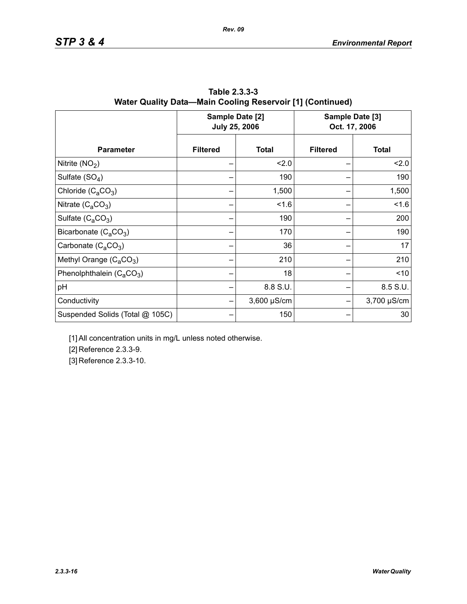|                                 |                 | Sample Date [2]<br><b>July 25, 2006</b> | Sample Date [3]<br>Oct. 17, 2006 |              |  |
|---------------------------------|-----------------|-----------------------------------------|----------------------------------|--------------|--|
| <b>Parameter</b>                | <b>Filtered</b> | <b>Total</b>                            | <b>Filtered</b>                  | <b>Total</b> |  |
| Nitrite $(NO2)$                 |                 | 2.0                                     |                                  | 2.0          |  |
| Sulfate $(SO4)$                 |                 | 190                                     |                                  | 190          |  |
| Chloride $(C_aCO_3)$            |                 | 1,500                                   |                                  | 1,500        |  |
| Nitrate $(C_4CO_3)$             |                 | 1.6                                     |                                  | 1.6          |  |
| Sulfate $(C_4CO_3)$             |                 | 190                                     |                                  | 200          |  |
| Bicarbonate $(C_aCO_3)$         |                 | 170                                     |                                  | 190          |  |
| Carbonate $(C_2CO_3)$           |                 | 36                                      |                                  | 17           |  |
| Methyl Orange $(C_aCO_3)$       |                 | 210                                     |                                  | 210          |  |
| Phenolphthalein $(C_4CO_3)$     |                 | 18                                      |                                  | ~10          |  |
| pH                              |                 | 8.8 S.U.                                |                                  | 8.5 S.U.     |  |
| Conductivity                    |                 | $3,600 \mu S/cm$                        |                                  | 3,700 µS/cm  |  |
| Suspended Solids (Total @ 105C) |                 | 150                                     |                                  | 30           |  |

**Table 2.3.3-3 Water Quality Data—Main Cooling Reservoir [1] (Continued)**

*Rev. 09*

[1] All concentration units in mg/L unless noted otherwise.

[2] Reference 2.3.3-9.

[3] Reference 2.3.3-10.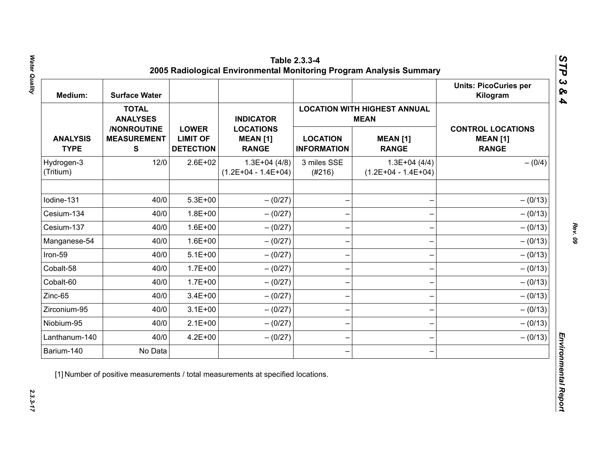| Medium:                        | <b>Surface Water</b>                           |                                                     |                                                     |                                       |                                                    | <b>Units: PicoCuries per</b><br>Kilogram                    |
|--------------------------------|------------------------------------------------|-----------------------------------------------------|-----------------------------------------------------|---------------------------------------|----------------------------------------------------|-------------------------------------------------------------|
|                                | <b>TOTAL</b><br><b>ANALYSES</b>                |                                                     | <b>INDICATOR</b>                                    |                                       | <b>LOCATION WITH HIGHEST ANNUAL</b><br><b>MEAN</b> |                                                             |
| <b>ANALYSIS</b><br><b>TYPE</b> | /NONROUTINE<br><b>MEASUREMENT</b><br>${\bf S}$ | <b>LOWER</b><br><b>LIMIT OF</b><br><b>DETECTION</b> | <b>LOCATIONS</b><br><b>MEAN [1]</b><br><b>RANGE</b> | <b>LOCATION</b><br><b>INFORMATION</b> | <b>MEAN [1]</b><br><b>RANGE</b>                    | <b>CONTROL LOCATIONS</b><br><b>MEAN [1]</b><br><b>RANGE</b> |
| Hydrogen-3<br>(Tritium)        | 12/0                                           | $2.6E + 02$                                         | $1.3E+04(4/8)$<br>$(1.2E+04 - 1.4E+04)$             | 3 miles SSE<br>(#216)                 | $1.3E+04(4/4)$<br>$(1.2E+04 - 1.4E+04)$            | $- (0/4)$                                                   |
| Iodine-131                     | 40/0                                           | $5.3E + 00$                                         | $- (0/27)$                                          |                                       |                                                    | $- (0/13)$                                                  |
| Cesium-134                     | 40/0                                           | $1.8E + 00$                                         | $- (0/27)$                                          |                                       |                                                    | $- (0/13)$                                                  |
| Cesium-137                     | 40/0                                           | $1.6E + 00$                                         | $-(0/27)$                                           |                                       |                                                    | $- (0/13)$                                                  |
| Manganese-54                   | 40/0                                           | $1.6E + 00$                                         | $- (0/27)$                                          |                                       |                                                    | $- (0/13)$                                                  |
| Iron-59                        | 40/0                                           | $5.1E+00$                                           | $- (0/27)$                                          |                                       |                                                    | $- (0/13)$                                                  |
| Cobalt-58                      | 40/0                                           | $1.7E + 00$                                         | $-(0/27)$                                           |                                       |                                                    | $- (0/13)$                                                  |
| Cobalt-60                      | 40/0                                           | $1.7E + 00$                                         | $-(0/27)$                                           |                                       |                                                    | $- (0/13)$                                                  |
| Zinc-65                        | 40/0                                           | $3.4E + 00$                                         | $- (0/27)$                                          |                                       |                                                    | $- (0/13)$                                                  |
| Zirconium-95                   | 40/0                                           | $3.1E + 00$                                         | $-(0/27)$                                           |                                       |                                                    | $- (0/13)$                                                  |
| Niobium-95                     | 40/0                                           | $2.1E+00$                                           | $-(0/27)$                                           |                                       |                                                    | $- (0/13)$                                                  |
| Lanthanum-140                  | 40/0                                           | $4.2E + 00$                                         | $- (0/27)$                                          |                                       |                                                    | $- (0/13)$                                                  |
| Barium-140                     | No Data                                        |                                                     |                                                     |                                       |                                                    |                                                             |

Water Quality *Water Quality 2.3.3-17*

*Rev. 09*

 $2.3.3 - 17$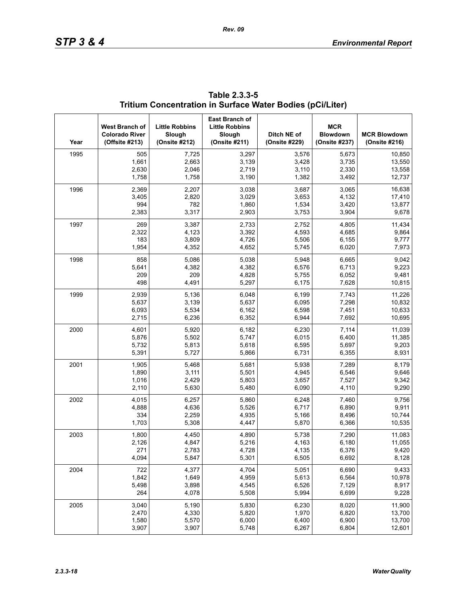| Year | West Branch of<br><b>Colorado River</b><br>(Offsite #213) | <b>Little Robbins</b><br>Slough<br>(Onsite #212) | <b>East Branch of</b><br><b>Little Robbins</b><br>Slough<br>(Onsite #211) | Ditch NE of<br>(Onsite #229) | <b>MCR</b><br><b>Blowdown</b><br>(Onsite #237) | <b>MCR Blowdown</b><br>(Onsite #216) |
|------|-----------------------------------------------------------|--------------------------------------------------|---------------------------------------------------------------------------|------------------------------|------------------------------------------------|--------------------------------------|
| 1995 | 505                                                       | 7,725                                            | 3,297                                                                     | 3,576                        | 5,673                                          | 10,850                               |
|      | 1,661                                                     | 2,663                                            | 3,139                                                                     | 3,428                        | 3,735                                          | 13,550                               |
|      | 2,630                                                     | 2,046                                            | 2,719                                                                     | 3,110                        | 2,330                                          | 13,558                               |
|      | 1,758                                                     | 1,758                                            | 3,190                                                                     | 1,382                        | 3,492                                          | 12,737                               |
| 1996 | 2,369                                                     | 2,207                                            | 3,038                                                                     | 3,687                        | 3,065                                          | 16,638                               |
|      | 3,405                                                     | 2,820                                            | 3,029                                                                     | 3,653                        | 4,132                                          | 17,410                               |
|      | 994                                                       | 782                                              | 1,860                                                                     | 1,534                        | 3,420                                          | 13,877                               |
|      | 2,383                                                     | 3,317                                            | 2,903                                                                     | 3,753                        | 3,904                                          | 9,678                                |
| 1997 | 269                                                       | 3,387                                            | 2,733                                                                     | 2,752                        | 4,805                                          | 11,434                               |
|      | 2,322                                                     | 4,123                                            | 3,392                                                                     | 4,593                        | 4,685                                          | 9,864                                |
|      | 183                                                       | 3,809                                            | 4,726                                                                     | 5,506                        | 6,155                                          | 9,777                                |
|      | 1,954                                                     | 4,352                                            | 4,652                                                                     | 5,745                        | 6,020                                          | 7,973                                |
| 1998 | 858                                                       | 5,086                                            | 5,038                                                                     | 5,948                        | 6,665                                          | 9,042                                |
|      | 5,641                                                     | 4,382                                            | 4,382                                                                     | 6,576                        | 6,713                                          | 9,223                                |
|      | 209                                                       | 209                                              | 4,828                                                                     | 5,755                        | 6,052                                          | 9,481                                |
|      | 498                                                       | 4,491                                            | 5,297                                                                     | 6,175                        | 7,628                                          | 10,815                               |
| 1999 | 2,939                                                     | 5,136                                            | 6,048                                                                     | 6,199                        | 7,743                                          | 11,226                               |
|      | 5,637                                                     | 3,139                                            | 5,637                                                                     | 6,095                        | 7,298                                          | 10,832                               |
|      | 6,093                                                     | 5,534                                            | 6,162                                                                     | 6,598                        | 7,451                                          | 10,633                               |
|      | 2,715                                                     | 6,236                                            | 6,352                                                                     | 6,944                        | 7,692                                          | 10,695                               |
| 2000 | 4,601                                                     | 5,920                                            | 6,182                                                                     | 6,230                        | 7,114                                          | 11,039                               |
|      | 5,876                                                     | 5,502                                            | 5,747                                                                     | 6,015                        | 6,400                                          | 11,385                               |
|      | 5,732                                                     | 5,813                                            | 5,618                                                                     | 6,595                        | 5,697                                          | 9,203                                |
|      | 5,391                                                     | 5,727                                            | 5,866                                                                     | 6,731                        | 6,355                                          | 8,931                                |
| 2001 | 1,905                                                     | 5,468                                            | 5,681                                                                     | 5,938                        | 7,289                                          | 8,179                                |
|      | 1,890                                                     | 3,111                                            | 5,501                                                                     | 4,945                        | 6,546                                          | 9,646                                |
|      | 1,016                                                     | 2,429                                            | 5,803                                                                     | 3,657                        | 7,527                                          | 9,342                                |
|      | 2,110                                                     | 5,630                                            | 5,480                                                                     | 6,090                        | 4,110                                          | 9,290                                |
| 2002 | 4,015                                                     | 6,257                                            | 5,860                                                                     | 6,248                        | 7,460                                          | 9,756                                |
|      | 4,888                                                     | 4,636                                            | 5,526                                                                     | 6,717                        | 6,890                                          | 9,911                                |
|      | 334                                                       | 2,259                                            | 4,935                                                                     | 5,166                        | 8,496                                          | 10,744                               |
|      | 1,703                                                     | 5,308                                            | 4,447                                                                     | 5,870                        | 6,366                                          | 10,535                               |
| 2003 | 1,800                                                     | 4,450                                            | 4,890                                                                     | 5,738                        | 7,290                                          | 11,083                               |
|      | 2,126                                                     | 4,847                                            | 5,216                                                                     | 4,163                        | 6,180                                          | 11,055                               |
|      | 271                                                       | 2,783                                            | 4,728                                                                     | 4,135                        | 6,376                                          | 9,420                                |
|      | 4,094                                                     | 5,847                                            | 5,301                                                                     | 6,505                        | 6,692                                          | 8,128                                |
| 2004 | 722                                                       | 4,377                                            | 4,704                                                                     | 5,051                        | 6,690                                          | 9,433                                |
|      | 1,842                                                     | 1,649                                            | 4,959                                                                     | 5,613                        | 6,564                                          | 10,978                               |
|      | 5,498                                                     | 3,898                                            | 4,545                                                                     | 6,526                        | 7,129                                          | 8,917                                |
|      | 264                                                       | 4,078                                            | 5,508                                                                     | 5,994                        | 6,699                                          | 9,228                                |
| 2005 | 3,040                                                     | 5,190                                            | 5,830                                                                     | 6,230                        | 8,020                                          | 11,900                               |
|      | 2,470                                                     | 4,330                                            | 5,820                                                                     | 1,970                        | 6,820                                          | 13,700                               |
|      | 1,580                                                     | 5,570                                            | 6,000                                                                     | 6,400                        | 6,900                                          | 13,700                               |
|      | 3,907                                                     | 3,907                                            | 5,748                                                                     | 6,267                        | 6,804                                          | 12,601                               |

## **Table 2.3.3-5 Tritium Concentration in Surface Water Bodies (pCi/Liter)**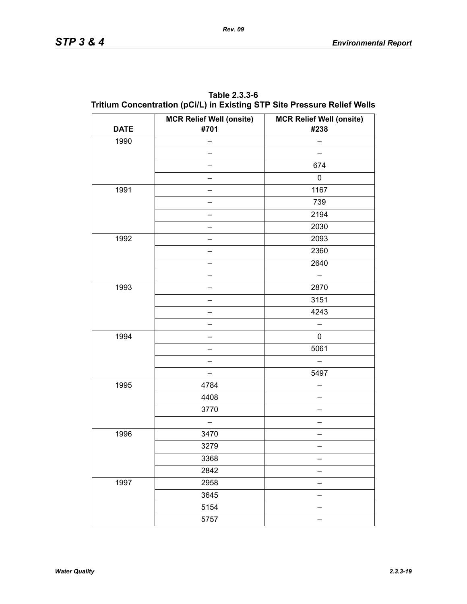| Table 2.3.3-6                                                            |  |
|--------------------------------------------------------------------------|--|
| Tritium Concentration (pCi/L) in Existing STP Site Pressure Relief Wells |  |

| <b>DATE</b> | <b>MCR Relief Well (onsite)</b><br>#701 | <b>MCR Relief Well (onsite)</b><br>#238 |
|-------------|-----------------------------------------|-----------------------------------------|
| 1990        |                                         |                                         |
|             |                                         |                                         |
|             |                                         | 674                                     |
|             |                                         | $\pmb{0}$                               |
| 1991        |                                         | 1167                                    |
|             |                                         | 739                                     |
|             |                                         | 2194                                    |
|             |                                         | 2030                                    |
| 1992        |                                         | 2093                                    |
|             |                                         | 2360                                    |
|             |                                         | 2640                                    |
|             |                                         |                                         |
| 1993        |                                         | 2870                                    |
|             |                                         | 3151                                    |
|             |                                         | 4243                                    |
|             |                                         |                                         |
| 1994        |                                         | 0                                       |
|             |                                         | 5061                                    |
|             |                                         |                                         |
|             |                                         | 5497                                    |
| 1995        | 4784                                    |                                         |
|             | 4408                                    |                                         |
|             | 3770                                    |                                         |
|             |                                         |                                         |
| 1996        | 3470                                    |                                         |
|             | 3279                                    |                                         |
|             | 3368                                    |                                         |
|             | 2842                                    |                                         |
| 1997        | 2958                                    |                                         |
|             | 3645                                    |                                         |
|             | 5154                                    |                                         |
|             | 5757                                    |                                         |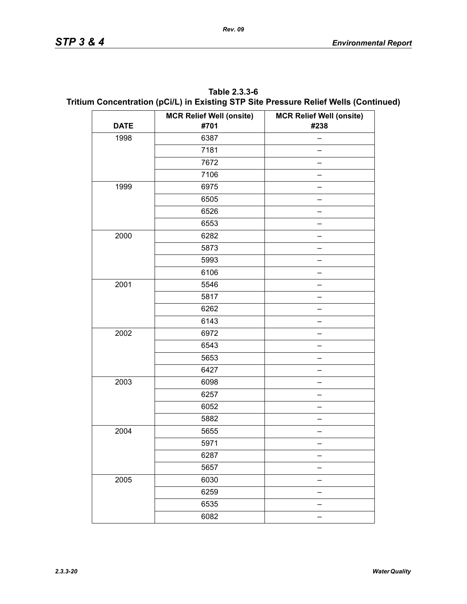| Table 2.3.3-6                                                                        |
|--------------------------------------------------------------------------------------|
| Tritium Concentration (pCi/L) in Existing STP Site Pressure Relief Wells (Continued) |

|             | <b>MCR Relief Well (onsite)</b> | <b>MCR Relief Well (onsite)</b> |
|-------------|---------------------------------|---------------------------------|
| <b>DATE</b> | #701                            | #238                            |
| 1998        | 6387                            | -                               |
|             | 7181                            |                                 |
|             | 7672                            |                                 |
|             | 7106                            |                                 |
| 1999        | 6975                            |                                 |
|             | 6505                            |                                 |
|             | 6526                            |                                 |
|             | 6553                            |                                 |
| 2000        | 6282                            |                                 |
|             | 5873                            |                                 |
|             | 5993                            |                                 |
|             | 6106                            |                                 |
| 2001        | 5546                            |                                 |
|             | 5817                            |                                 |
|             | 6262                            |                                 |
|             | 6143                            |                                 |
| 2002        | 6972                            |                                 |
|             | 6543                            |                                 |
|             | 5653                            |                                 |
|             | 6427                            |                                 |
| 2003        | 6098                            |                                 |
|             | 6257                            |                                 |
|             | 6052                            |                                 |
|             | 5882                            |                                 |
| 2004        | 5655                            |                                 |
|             | 5971                            |                                 |
|             | 6287                            |                                 |
|             | 5657                            |                                 |
| 2005        | 6030                            |                                 |
|             | 6259                            |                                 |
|             | 6535                            |                                 |
|             | 6082                            |                                 |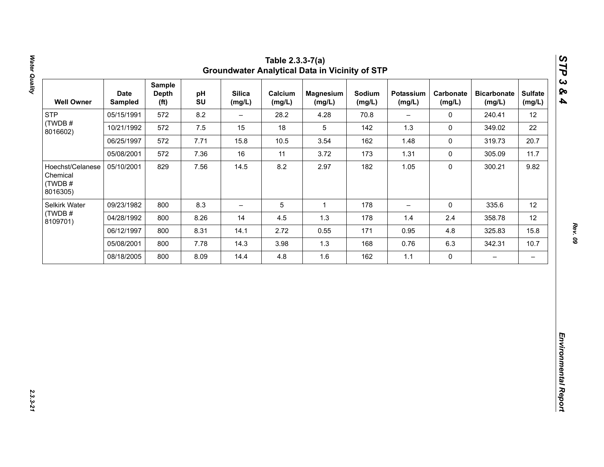| 12<br>22<br>20.7<br>11.7<br>9.82 |
|----------------------------------|
|                                  |
|                                  |
|                                  |
|                                  |
|                                  |
| 12                               |
| 12                               |
| 15.8                             |
| 10.7                             |
| $\qquad \qquad -$                |
|                                  |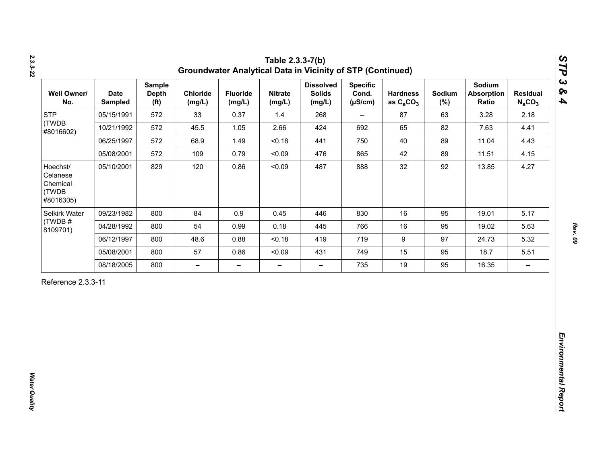| <b>STP</b><br>(TWDB                                    |            | <b>Depth</b><br>(f <sup>t</sup> ) | Chloride<br>(mg/L)       | <b>Fluoride</b><br>(mg/L) | <b>Nitrate</b><br>(mg/L) | <b>Dissolved</b><br><b>Solids</b><br>(mg/L) | <b>Specific</b><br>Cond.<br>$(\mu S/cm)$ | <b>Hardness</b><br>as $C_2CO_3$ | Sodium<br>$(\%)$ | Sodium<br><b>Absorption</b><br>Ratio | <b>Residual</b><br>$N_aCO_3$ |
|--------------------------------------------------------|------------|-----------------------------------|--------------------------|---------------------------|--------------------------|---------------------------------------------|------------------------------------------|---------------------------------|------------------|--------------------------------------|------------------------------|
| #8016602)                                              | 05/15/1991 | 572                               | 33                       | 0.37                      | 1.4                      | 268                                         | $\overline{\phantom{a}}$                 | 87                              | 63               | 3.28                                 | 2.18                         |
|                                                        | 10/21/1992 | 572                               | 45.5                     | 1.05                      | 2.66                     | 424                                         | 692                                      | 65                              | 82               | 7.63                                 | 4.41                         |
|                                                        | 06/25/1997 | 572                               | 68.9                     | 1.49                      | < 0.18                   | 441                                         | 750                                      | 40                              | 89               | 11.04                                | 4.43                         |
|                                                        | 05/08/2001 | 572                               | 109                      | 0.79                      | < 0.09                   | 476                                         | 865                                      | 42                              | 89               | 11.51                                | 4.15                         |
| Hoechst/<br>Celanese<br>Chemical<br>(TWDB<br>#8016305) | 05/10/2001 | 829                               | 120                      | 0.86                      | < 0.09                   | 487                                         | 888                                      | 32                              | 92               | 13.85                                | 4.27                         |
| Selkirk Water                                          | 09/23/1982 | 800                               | 84                       | 0.9                       | 0.45                     | 446                                         | 830                                      | 16                              | 95               | 19.01                                | 5.17                         |
| (TWDB#<br>8109701)                                     | 04/28/1992 | 800                               | 54                       | 0.99                      | 0.18                     | 445                                         | 766                                      | 16                              | 95               | 19.02                                | 5.63                         |
|                                                        | 06/12/1997 | 800                               | 48.6                     | 0.88                      | < 0.18                   | 419                                         | 719                                      | $\boldsymbol{9}$                | 97               | 24.73                                | 5.32                         |
|                                                        | 05/08/2001 | 800                               | 57                       | 0.86                      | < 0.09                   | 431                                         | 749                                      | 15                              | 95               | 18.7                                 | 5.51                         |
|                                                        | 08/18/2005 | 800                               | $\overline{\phantom{0}}$ | $\overline{\phantom{m}}$  | $\overline{\phantom{0}}$ | $\overline{\phantom{0}}$                    | 735                                      | 19                              | 95               | 16.35                                | $\overline{\phantom{m}}$     |

*2.3.3-22*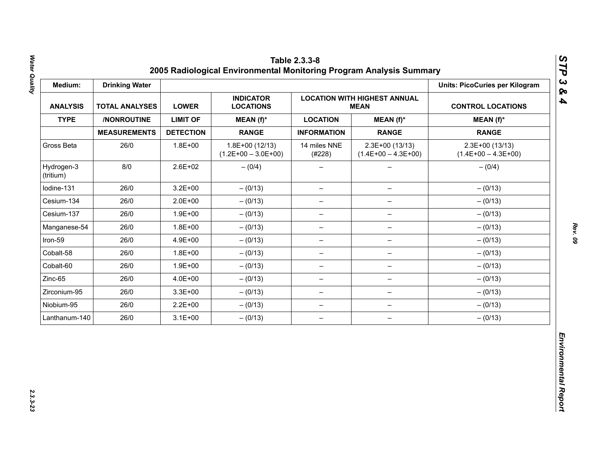| Medium:                 | <b>Drinking Water</b> |                  |                                           |                          |                                           | <b>Units: PicoCuries per Kilogram</b>     |
|-------------------------|-----------------------|------------------|-------------------------------------------|--------------------------|-------------------------------------------|-------------------------------------------|
| <b>ANALYSIS</b>         | <b>TOTAL ANALYSES</b> | <b>LOWER</b>     | <b>INDICATOR</b><br><b>LOCATIONS</b>      | <b>CONTROL LOCATIONS</b> |                                           |                                           |
| <b>TYPE</b>             | /NONROUTINE           | <b>LIMIT OF</b>  | MEAN (f)*                                 | <b>LOCATION</b>          | $MEAN(f)^*$                               | $MEAN(f)^*$                               |
|                         | <b>MEASUREMENTS</b>   | <b>DETECTION</b> | <b>RANGE</b>                              | <b>INFORMATION</b>       | <b>RANGE</b>                              | <b>RANGE</b>                              |
| Gross Beta              | 26/0                  | $1.8E + 00$      | $1.8E+00(12/13)$<br>$(1.2E+00 - 3.0E+00)$ | 14 miles NNE<br>(#228)   | $2.3E+00(13/13)$<br>$(1.4E+00 - 4.3E+00)$ | $2.3E+00(13/13)$<br>$(1.4E+00 - 4.3E+00)$ |
| Hydrogen-3<br>(tritium) | 8/0                   | $2.6E + 02$      | $- (0/4)$                                 |                          |                                           | $- (0/4)$                                 |
| Iodine-131              | 26/0                  | $3.2E + 00$      | $- (0/13)$                                | $\overline{\phantom{m}}$ | $\qquad \qquad -$                         | $- (0/13)$                                |
| Cesium-134              | 26/0                  | $2.0E + 00$      | $- (0/13)$                                | $\overline{\phantom{m}}$ | $\overline{\phantom{m}}$                  | $- (0/13)$                                |
| Cesium-137              | 26/0                  | $1.9E + 00$      | $- (0/13)$                                | -                        |                                           | $- (0/13)$                                |
| Manganese-54            | 26/0                  | $1.8E + 00$      | $- (0/13)$                                | $\qquad \qquad -$        | $\qquad \qquad -$                         | $- (0/13)$                                |
| Iron-59                 | 26/0                  | 4.9E+00          | $- (0/13)$                                | $\overline{\phantom{0}}$ | $\qquad \qquad -$                         | $- (0/13)$                                |
| Cobalt-58               | 26/0                  | $1.8E + 00$      | $- (0/13)$                                | $\overline{\phantom{m}}$ | $\overline{\phantom{0}}$                  | $- (0/13)$                                |
| Cobalt-60               | 26/0                  | $1.9E + 00$      | $- (0/13)$                                | $\overline{\phantom{m}}$ | $\qquad \qquad -$                         | $- (0/13)$                                |
| Zinc-65                 | 26/0                  | 4.0E+00          | $- (0/13)$                                | $\overline{\phantom{0}}$ | $\qquad \qquad -$                         | $- (0/13)$                                |
| Zirconium-95            | 26/0                  | $3.3E + 00$      | $- (0/13)$                                | $\overline{\phantom{m}}$ | $\qquad \qquad -$                         | $- (0/13)$                                |
| Niobium-95              | 26/0                  | $2.2E + 00$      | $- (0/13)$                                | $\overline{\phantom{m}}$ | $\qquad \qquad -$                         | $- (0/13)$                                |
| Lanthanum-140           | 26/0                  | $3.1E + 00$      | $- (0/13)$                                | $\overline{\phantom{m}}$ | $\overline{\phantom{m}}$                  | $- (0/13)$                                |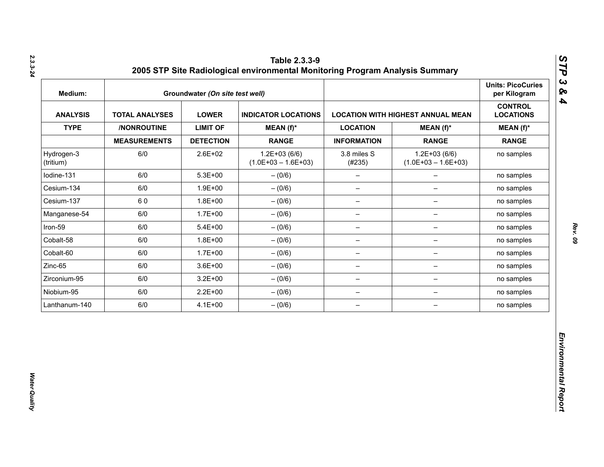| Medium:                 |                       | Groundwater (On site test well) |                                           |                          |                                          | <b>Units: PicoCuries</b><br>per Kilogram |
|-------------------------|-----------------------|---------------------------------|-------------------------------------------|--------------------------|------------------------------------------|------------------------------------------|
| <b>ANALYSIS</b>         | <b>TOTAL ANALYSES</b> | <b>LOWER</b>                    | <b>INDICATOR LOCATIONS</b>                |                          | <b>LOCATION WITH HIGHEST ANNUAL MEAN</b> | <b>CONTROL</b><br><b>LOCATIONS</b>       |
| <b>TYPE</b>             | /NONROUTINE           | <b>LIMIT OF</b>                 | $MEAN(f)^*$                               | <b>LOCATION</b>          | MEAN $(f)^*$                             | $MEAN(f)^*$                              |
|                         | <b>MEASUREMENTS</b>   | <b>DETECTION</b>                | <b>RANGE</b>                              | <b>INFORMATION</b>       | <b>RANGE</b>                             | <b>RANGE</b>                             |
| Hydrogen-3<br>(tritium) | 6/0                   | 2.6E+02                         | $1.2E + 03(6/6)$<br>$(1.0E+03 - 1.6E+03)$ | 3.8 miles S<br>(#235)    | $1.2E+03(6/6)$<br>$(1.0E+03 - 1.6E+03)$  | no samples                               |
| lodine-131              | 6/0                   | $5.3E + 00$                     | $- (0/6)$                                 | $\qquad \qquad -$        | $\overline{\phantom{0}}$                 | no samples                               |
| Cesium-134              | 6/0                   | $1.9E + 00$                     | $- (0/6)$                                 | $\qquad \qquad -$        | $\overline{\phantom{0}}$                 | no samples                               |
| Cesium-137              | 60                    | $1.8E + 00$                     | $-(0/6)$                                  | $\overline{\phantom{a}}$ | $\qquad \qquad -$                        | no samples                               |
| Manganese-54            | 6/0                   | $1.7E + 00$                     | $- (0/6)$                                 | $\overline{\phantom{m}}$ | -                                        | no samples                               |
| Iron-59                 | 6/0                   | $5.4E + 00$                     | $- (0/6)$                                 | $\qquad \qquad -$        | -                                        | no samples                               |
| Cobalt-58               | 6/0                   | $1.8E + 00$                     | $- (0/6)$                                 | $\overline{\phantom{m}}$ | $\qquad \qquad -$                        | no samples                               |
| Cobalt-60               | 6/0                   | $1.7E + 00$                     | $- (0/6)$                                 | $\overline{\phantom{m}}$ | $\qquad \qquad -$                        | no samples                               |
| Zinc-65                 | 6/0                   | $3.6E + 00$                     | $-(0/6)$                                  | $\overline{\phantom{m}}$ | $\qquad \qquad -$                        | no samples                               |
| Zirconium-95            | 6/0                   | $3.2E + 00$                     | $-(0/6)$                                  | $\qquad \qquad -$        | -                                        | no samples                               |
| Niobium-95              | 6/0                   | $2.2E + 00$                     | $-(0/6)$                                  | $\qquad \qquad -$        | $\overline{\phantom{a}}$                 | no samples                               |
| Lanthanum-140           | 6/0                   | $4.1E + 00$                     | $-(0/6)$                                  | $\qquad \qquad -$        | $\qquad \qquad -$                        | no samples                               |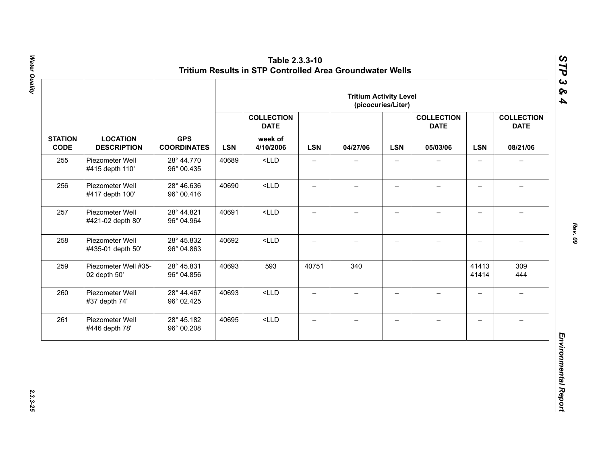|                               |                                       |                                  |            |                                  |                          | <b>Tritium Activity Level</b> | (picocuries/Liter)       |                                  |                          |                                  |
|-------------------------------|---------------------------------------|----------------------------------|------------|----------------------------------|--------------------------|-------------------------------|--------------------------|----------------------------------|--------------------------|----------------------------------|
|                               |                                       |                                  |            | <b>COLLECTION</b><br><b>DATE</b> |                          |                               |                          | <b>COLLECTION</b><br><b>DATE</b> |                          | <b>COLLECTION</b><br><b>DATE</b> |
| <b>STATION</b><br><b>CODE</b> | <b>LOCATION</b><br><b>DESCRIPTION</b> | <b>GPS</b><br><b>COORDINATES</b> | <b>LSN</b> | week of<br>4/10/2006             | <b>LSN</b>               | 04/27/06                      | <b>LSN</b>               | 05/03/06                         | <b>LSN</b>               | 08/21/06                         |
| 255                           | Piezometer Well<br>#415 depth 110'    | 28° 44.770<br>96° 00.435         | 40689      | $<$ LLD                          | $\overline{\phantom{0}}$ |                               |                          |                                  | $\overline{\phantom{0}}$ |                                  |
| 256                           | Piezometer Well<br>#417 depth 100'    | 28° 46.636<br>96° 00.416         | 40690      | $<$ LLD                          | $\qquad \qquad -$        | $\overline{\phantom{0}}$      | $\qquad \qquad -$        |                                  | $\overline{\phantom{0}}$ |                                  |
| 257                           | Piezometer Well<br>#421-02 depth 80'  | 28° 44.821<br>96° 04.964         | 40691      | $<$ LLD                          | $\overline{\phantom{0}}$ | $\overline{\phantom{0}}$      | $\overline{\phantom{0}}$ | $\overline{\phantom{0}}$         | $\overline{\phantom{0}}$ | $\equiv$                         |
| 258                           | Piezometer Well<br>#435-01 depth 50'  | 28° 45.832<br>96° 04.863         | 40692      | $<$ LLD                          | $\overline{\phantom{0}}$ | $\overline{\phantom{0}}$      | $\overline{\phantom{0}}$ | $\!-$                            | $\overline{\phantom{0}}$ | $\overline{\phantom{m}}$         |
| 259                           | Piezometer Well #35-<br>02 depth 50'  | 28° 45.831<br>96° 04.856         | 40693      | 593                              | 40751                    | 340                           |                          |                                  | 41413<br>41414           | 309<br>444                       |
| 260                           | Piezometer Well<br>#37 depth 74'      | 28° 44.467<br>96° 02.425         | 40693      | $<$ LLD                          | $\overline{\phantom{0}}$ | $\overline{\phantom{0}}$      | $\overline{\phantom{0}}$ | $\equiv$                         | $\overline{\phantom{0}}$ | $\rightarrow$                    |
| 261                           | Piezometer Well<br>#446 depth 78'     | 28° 45.182<br>96° 00.208         | 40695      | $<$ LLD                          | $\qquad \qquad -$        | $\qquad \qquad -$             | $\overline{\phantom{m}}$ | $\qquad \qquad -$                | $\overline{\phantom{0}}$ | $\overline{\phantom{0}}$         |

Water Quality *Water Quality 2.3.3-25*

*Rev. 09*

*STP 3 & 4*

2.3.3-25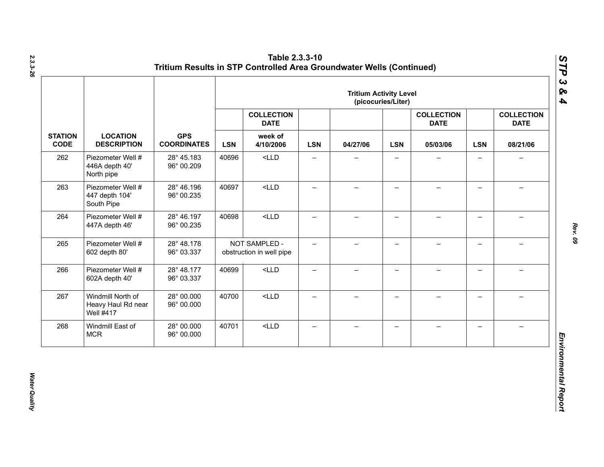|                               |                                                             |                                  | <b>Tritium Activity Level</b><br>(picocuries/Liter) |                                           |                          |                          |                          |                                  |                          |                                  |
|-------------------------------|-------------------------------------------------------------|----------------------------------|-----------------------------------------------------|-------------------------------------------|--------------------------|--------------------------|--------------------------|----------------------------------|--------------------------|----------------------------------|
|                               |                                                             |                                  |                                                     | <b>COLLECTION</b><br><b>DATE</b>          |                          |                          |                          | <b>COLLECTION</b><br><b>DATE</b> |                          | <b>COLLECTION</b><br><b>DATE</b> |
| <b>STATION</b><br><b>CODE</b> | <b>LOCATION</b><br><b>DESCRIPTION</b>                       | <b>GPS</b><br><b>COORDINATES</b> | <b>LSN</b>                                          | week of<br>4/10/2006                      | <b>LSN</b>               | 04/27/06                 | <b>LSN</b>               | 05/03/06                         | <b>LSN</b>               | 08/21/06                         |
| 262                           | Piezometer Well #<br>446A depth 40'<br>North pipe           | 28° 45.183<br>96° 00.209         | 40696                                               | $<$ LLD                                   | $\qquad \qquad -$        | —                        | $\overline{\phantom{0}}$ |                                  | $\qquad \qquad -$        | $\overline{\phantom{0}}$         |
| 263                           | Piezometer Well #<br>447 depth 104'<br>South Pipe           | 28° 46.196<br>96° 00.235         | 40697                                               | $<$ LLD                                   | $\overline{\phantom{0}}$ | $\overline{\phantom{0}}$ | $\overline{\phantom{0}}$ |                                  | $\qquad \qquad -$        |                                  |
| 264                           | Piezometer Well #<br>447A depth 46'                         | 28° 46.197<br>96° 00.235         | 40698                                               | $<$ LLD                                   | —                        | $\overline{\phantom{0}}$ | $\overline{\phantom{0}}$ |                                  | $\overline{\phantom{0}}$ |                                  |
| 265                           | Piezometer Well #<br>602 depth 80'                          | 28° 48.178<br>96° 03.337         |                                                     | NOT SAMPLED -<br>obstruction in well pipe | $\overline{\phantom{0}}$ | $-$                      | $\overline{\phantom{0}}$ |                                  | $\overline{\phantom{0}}$ |                                  |
| 266                           | Piezometer Well #<br>602A depth 40'                         | 28° 48.177<br>96° 03.337         | 40699                                               | $<$ LLD                                   | $\qquad \qquad -$        | $\overline{\phantom{0}}$ | $\qquad \qquad -$        |                                  | $\overline{\phantom{0}}$ |                                  |
| 267                           | Windmill North of<br>Heavy Haul Rd near<br><b>Well #417</b> | 28° 00.000<br>96° 00.000         | 40700                                               | $<$ LLD                                   | $\equiv$                 | $\overline{\phantom{0}}$ | $\overline{\phantom{0}}$ | $\!-$                            | $\overline{\phantom{0}}$ | $\overline{\phantom{0}}$         |
| 268                           | Windmill East of<br><b>MCR</b>                              | 28° 00.000<br>96° 00.000         | 40701                                               | $<$ LLD                                   | $\qquad \qquad -$        | $\overline{\phantom{0}}$ | —                        |                                  | $\qquad \qquad -$        |                                  |

*2.3.3-26*